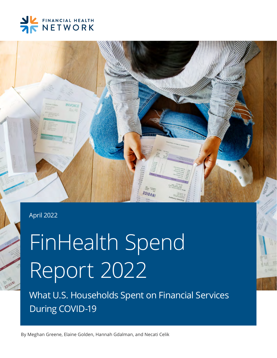



### April 2022

# FinHealth Spend Report 2022

What U.S. Households Spent on Financial Services During COVID-19

By Meghan Greene, Elaine Golden, Hannah Gdalman, and Necati Celik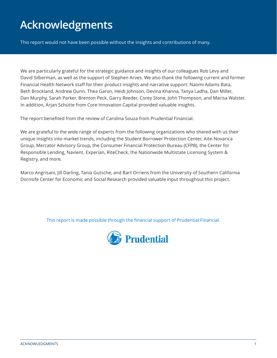### **Acknowledgments**

This report would not have been possible without the insights and contributions of many.

We are particularly grateful for the strategic guidance and insights of our colleagues Rob Levy and David Silberman, as well as the support of Stephen Arves. We also thank the following current and former Financial Health Network staff for their product insights and narrative support: Naomi Adams Bata, Beth Brockland, Andrew Dunn, Thea Garon, Heidi Johnson, Devina Khanna, Tanya Ladha, Dan Miller, Dan Murphy, Sarah Parker, Brenton Peck, Garry Reeder, Corey Stone, John Thompson, and Marisa Walster. In addition, Arjan Schütte from Core Innovation Capital provided valuable insights.

The report benefited from the review of Carolina Souza from Prudential Financial.

We are grateful to the wide range of experts from the following organizations who shared with us their unique insights into market trends, including the Student Borrower Protection Center, Aite-Novarica Group, Mercator Advisory Group, the Consumer Financial Protection Bureau (CFPB), the Center for Responsible Lending, Navient, Experian, RiteCheck, the Nationwide Multistate Licensing System & Registry, and more.

Marco Angrisani, Jill Darling, Tania Gutsche, and Bart Orriens from the University of Southern California Dornsife Center for Economic and Social Research provided valuable input throughout this project.

This report is made possible through the financial support of Prudential Financial.

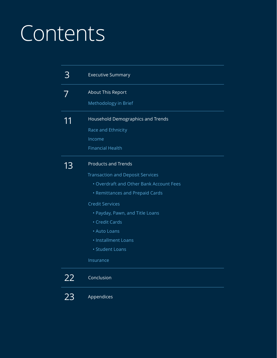# Contents

|    | <b>Executive Summary</b>                                                                                                                                                                                                                                                                                  |
|----|-----------------------------------------------------------------------------------------------------------------------------------------------------------------------------------------------------------------------------------------------------------------------------------------------------------|
|    | About This Report<br>Methodology in Brief                                                                                                                                                                                                                                                                 |
|    | Household Demographics and Trends<br>Race and Ethnicity<br>Income<br><b>Financial Health</b>                                                                                                                                                                                                              |
| 13 | <b>Products and Trends</b><br><b>Transaction and Deposit Services</b><br>• Overdraft and Other Bank Account Fees<br>• Remittances and Prepaid Cards<br><b>Credit Services</b><br>• Payday, Pawn, and Title Loans<br>• Credit Cards<br>• Auto Loans<br>· Installment Loans<br>· Student Loans<br>Insurance |
| 22 | Conclusion                                                                                                                                                                                                                                                                                                |
| ノイ | Appendices                                                                                                                                                                                                                                                                                                |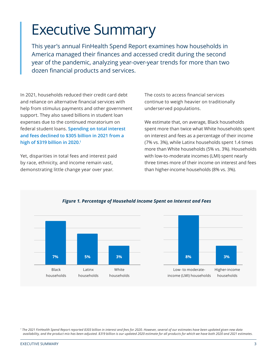## <span id="page-3-0"></span>Executive Summary

This year's annual FinHealth Spend Report examines how households in America managed their finances and accessed credit during the second year of the pandemic, analyzing year-over-year trends for more than two dozen financial products and services.

In 2021, households reduced their credit card debt and reliance on alternative financial services with help from stimulus payments and other government support. They also saved billions in student loan expenses due to the continued moratorium on federal student loans. **Spending on total interest and fees declined to \$305 billion in 2021 from a high of \$319 billion in 2020.1**

Yet, disparities in total fees and interest paid by race, ethnicity, and income remain vast, demonstrating little change year over year.

The costs to access financial services continue to weigh heavier on traditionally underserved populations.

We estimate that, on average, Black households spent more than twice what White households spent on interest and fees as a percentage of their income (7% vs. 3%), while Latinx households spent 1.4 times more than White households (5% vs. 3%). Households with low-to-moderate incomes (LMI) spent nearly three times more of their income on interest and fees than higher-income households (8% vs. 3%).



*Figure 1. Percentage of Household Income Spent on Interest and Fees*

*1 The 2021 FinHealth Spend Report reported \$303 billion in interest and fees for 2020. However, several of our estimates have been updated given new data availability, and the product mix has been adjusted. \$319 billion is our updated 2020 estimate for all products for which we have both 2020 and 2021 estimates.*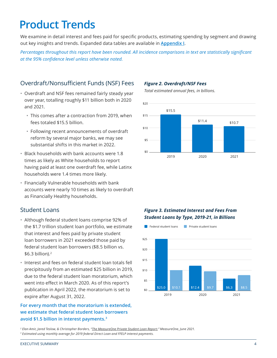### **Product Trends**

We examine in detail interest and fees paid for specific products, estimating spending by segment and drawing out key insights and trends. Expanded data tables are available in **[Appendix I](#page-23-0)**.

*Percentages throughout this report have been rounded. All incidence comparisons in text are statistically significant at the 95% confidence level unless otherwise noted.*

### Overdraft/Nonsufficient Funds (NSF) Fees

- Overdraft and NSF fees remained fairly steady year over year, totalling roughly \$11 billion both in 2020 and 2021.
	- This comes after a contraction from 2019, when fees totaled \$15.5 billion.
	- Following recent announcements of overdraft reform by several major banks, we may see substantial shifts in this market in 2022.
- Black households with bank accounts were 1.8 times as likely as White households to report having paid at least one overdraft fee, while Latinx households were 1.4 times more likely.
- Financially Vulnerable households with bank accounts were nearly 10 times as likely to overdraft as Financially Healthy households.

### Student Loans

- Although federal student loans comprise 92% of the \$1.7 trillion student loan portfolio, we estimate that interest and fees paid by private student loan borrowers in 2021 exceeded those paid by federal student loan borrowers (\$8.5 billion vs. \$6.3 billion).2
- Interest and fees on federal student loan totals fell precipitously from an estimated \$25 billion in 2019, due to the federal student loan moratorium, which went into effect in March 2020. As of this report's publication in April 2022, the moratorium is set to expire after August 31, 2022.

### **For every month that the moratorium is extended, we estimate that federal student loan borrowers avoid \$1.5 billion in interest payments.3**

### *Figure 2. Overdraft/NSF Fees*

*Total estimated annual fees, in billions.*



### *Figure 3. Estimated Interest and Fees From Student Loans by Type, 2019-21, in Billions*



*2 Elan Amir, Jared Teslow, & Christopher Borders, ["The MeasureOne Private Student Loan Report](https://f.hubspotusercontent00.net/hubfs/6171800/assets/downloads/MeasureOne%20Private%20Student%20Loan%20Report%20Q1%202021.pdf)," MeasureOne, June 2021. 3 Estimated using monthly average for 2019 federal Direct Loan and FFELP interest payments.*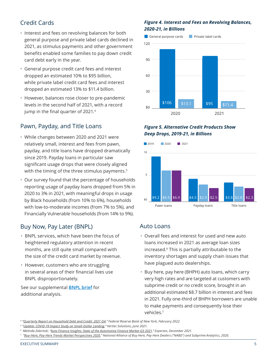### Credit Cards

- Interest and fees on revolving balances for both general purpose and private label cards declined in 2021, as stimulus payments and other government benefits enabled some families to pay down credit card debt early in the year.
- General purpose credit card fees and interest dropped an estimated 10% to \$95 billion, while private label credit card fees and interest dropped an estimated 13% to \$11.4 billion.
- However, balances rose closer to pre-pandemic levels in the second half of 2021, with a record jump in the final quarter of 2021.<sup>4</sup>

### Pawn, Payday, and Title Loans

- While changes between 2020 and 2021 were relatively small, interest and fees from pawn, payday, and title loans have dropped dramatically since 2019. Payday loans in particular saw significant usage drops that were closely aligned with the timing of the three stimulus payments.<sup>5</sup>
- Our survey found that the percentage of households reporting usage of payday loans dropped from 5% in 2020 to 3% in 2021, with meaningful drops in usage by Black households (from 10% to 6%), households with low-to-moderate incomes (from 7% to 5%), and Financially Vulnerable households (from 14% to 9%).

### Buy Now, Pay Later (BNPL)

- BNPL services, which have been the focus of heightened regulatory attention in recent months, are still quite small compared with the size of the credit card market by revenue.
- However, customers who are struggling in several areas of their financial lives use BNPL disproportionately.

See our supplemental **[BNPL brief](https://finhealthnetwork.org/research/buy-now-pay-later-implications-for-financial-health/)** for additional analysis.

### *Figure 4. Interest and Fees on Revolving Balances, 2020-21, in Billions*



### *Figure 5. Alternative Credit Products Show Deep Drops, 2019-21, in Billions*



### Auto Loans

- Overall fees and interest for used and new auto loans increased in 2021 as average loan sizes increased.6 This is partially attributable to the inventory shortages and supply chain issues that have plagued auto dealerships.
- Buy here, pay here (BHPH) auto loans, which carry very high rates and are targeted at customers with subprime credit or no credit score, brought in an additional estimated \$8.7 billion in interest and fees in 2021. Fully one-third of BHPH borrowers are unable to make payments and consequently lose their vehicles.7

*<sup>4</sup> "[Quarterly Report on Household Debt and Credit: 2021 Q4,](https://www.newyorkfed.org/medialibrary/interactives/householdcredit/data/pdf/hhdc_2021q4.pdf)" Federal Reserve Bank of New York, February 2022.*

*<sup>5</sup> "[Update: COVID-19 Impact Study on Small-Dollar Lending,](https://www.veritecs.com/2021-update-covid-19-impact-study-on-small-dollar-lending/)" Veritec Solutions, June 2021.* 

*<sup>6</sup> Melinda Zabritski, ["Auto Finance Insights: State of the Automotive Finance Market Q3 2021,](https://www.experian.com/automotive/auto-credit-webinar-form)" Experian, December 2021.*

*<sup>7</sup> "[Buy-Here, Pay-Here Trends Market Perspectives 2020,](https://www.sgcaccounting.com/Resources/BHPHBenchmarks2020.pdf)" National Alliance of Buy Here, Pay Here Dealers ("NABD") and Subprime Analytics, 2020.*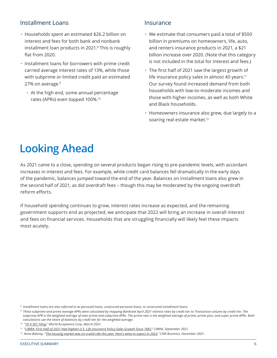### Installment Loans

- Households spent an estimated \$26.2 billion on interest and fees for both bank and nonbank installment loan products in 2021.<sup>8</sup> This is roughly flat from 2020.
- Installment loans for borrowers with prime credit carried average interest rates of 13%, while those with subprime or limited credit paid an estimated 27% on average.<sup>9</sup>
	- At the high end, some annual percentage rates (APRs) even topped 100%.10

### Insurance

- We estimate that consumers paid a total of \$500 billion in premiums on homeowners, life, auto, and renters insurance products in 2021, a \$21 billion increase over 2020. (Note that this category is not included in the total for interest and fees.)
- The first half of 2021 saw the largest growth of life insurance policy sales in almost 40 years.<sup>11</sup> Our survey found increased demand from both households with low-to-moderate incomes and those with higher incomes, as well as both White and Black households.
- Homeowners insurance also grew, due largely to a soaring real estate market.<sup>12</sup>

### **Looking Ahead**

As 2021 came to a close, spending on several products began rising to pre-pandemic levels, with accordant increases in interest and fees. For example, while credit card balances fell dramatically in the early days of the pandemic, balances jumped toward the end of the year. Balances on installment loans also grew in the second half of 2021, as did overdraft fees – though this may be moderated by the ongoing overdraft reform efforts.

If household spending continues to grow, interest rates increase as expected, and the remaining government supports end as projected, we anticipate that 2022 will bring an increase in overall interest and fees on financial services. Households that are struggling financially will likely feel these impacts most acutely.

*<sup>8</sup> Installment loans are also referred to as personal loans, unsecured personal loans, or unsecured installment loans.*

*<sup>9</sup> These subprime and prime average APRs were calculated by mapping Bankrate April 2021 interest rates by credit tier to TransUnion volume by credit tier. The subprime APR is the weighted average of near prime and subprime APRs. The prime rate is the weighted average of prime, prime plus, and super prime APRs. Both calculations use the share of balances by credit tier for the weighted average.*

*<sup>10 &</sup>quot;[10-K SEC Filing](https://app.quotemedia.com/data/downloadFiling?webmasterId=96104&ref=115918738&type=HTML&symbol=WRLD&companyName=World+Acceptance+Corporation&formType=10-K&formDescription=Annual+report+pursuant+to+Section+13+or+15%28d%29&dateFiled=2021-06-02&CK=108385)," World Acceptance Corp, March 2021.*

*<sup>11 &</sup>quot;[LIMRA: First Half of 2021 Had Highest U.S. Life Insurance Policy Sales Growth Since 1983](https://www.limra.com/en/newsroom/news-releases/2021/limra-first-half-of-2021-had-highest-u.s.-life-insurance-policy-sales-growth-since-1983/)," LIMRA, September 2021.*

*<sup>12</sup> Anna Bahney, "[The housing market was on a wild ride this year. Here's what to expect in 2022](https://www.cnn.com/2021/12/27/homes/us-real-estate-market-2021/index.html)," CNN Business, December 2021.*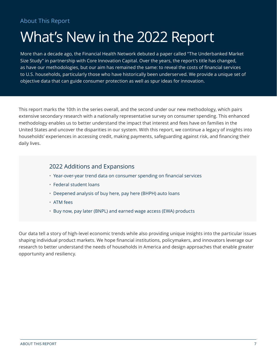## <span id="page-7-0"></span>What's New in the 2022 Report

More than a decade ago, the Financial Health Network debuted a paper called "The Underbanked Market Size Study" in partnership with Core Innovation Capital. Over the years, the report's title has changed, as have our methodologies, but our aim has remained the same: to reveal the costs of financial services to U.S. households, particularly those who have historically been underserved. We provide a unique set of objective data that can guide consumer protection as well as spur ideas for innovation.

This report marks the 10th in the series overall, and the second under our new methodology, which pairs extensive secondary research with a nationally representative survey on consumer spending. This enhanced methodology enables us to better understand the impact that interest and fees have on families in the United States and uncover the disparities in our system. With this report, we continue a legacy of insights into households' experiences in accessing credit, making payments, safeguarding against risk, and financing their daily lives.

### 2022 Additions and Expansions

- Year-over-year trend data on consumer spending on financial services
- Federal student loans
- Deepened analysis of buy here, pay here (BHPH) auto loans
- ATM fees
- Buy now, pay later (BNPL) and earned wage access (EWA) products

Our data tell a story of high-level economic trends while also providing unique insights into the particular issues shaping individual product markets. We hope financial institutions, policymakers, and innovators leverage our research to better understand the needs of households in America and design approaches that enable greater opportunity and resiliency.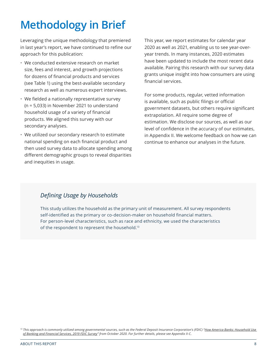### <span id="page-8-0"></span>**Methodology in Brief**

Leveraging the unique methodology that premiered in last year's report, we have continued to refine our approach for this publication:

- We conducted extensive research on market size, fees and interest, and growth projections for dozens of financial products and services (see Table 1) using the best-available secondary research as well as numerous expert interviews.
- We fielded a nationally representative survey (n = 5,033) in November 2021 to understand household usage of a variety of financial products. We aligned this survey with our secondary analyses.
- We utilized our secondary research to estimate national spending on each financial product and then used survey data to allocate spending among different demographic groups to reveal disparities and inequities in usage.

This year, we report estimates for calendar year 2020 as well as 2021, enabling us to see year-overyear trends. In many instances, 2020 estimates have been updated to include the most recent data available. Pairing this research with our survey data grants unique insight into how consumers are using financial services.

For some products, regular, vetted information is available, such as public filings or official government datasets, but others require significant extrapolation. All require some degree of estimation. We disclose our sources, as well as our level of confidence in the accuracy of our estimates, in Appendix II. We welcome feedback on how we can continue to enhance our analyses in the future.

### *Defining Usage by Households*

This study utilizes the household as the primary unit of measurement. All survey respondents self-identified as the primary or co-decision-maker on household financial matters. For person-level characteristics, such as race and ethnicity, we used the characteristics of the respondent to represent the household.<sup>13</sup>

<sup>&</sup>lt;sup>13</sup> This approach is commonly utilized among governmental sources, such as the Federal Deposit Insurance Corporation's (FDIC) "How America Banks: Household Use *[of Banking and Financial Services, 2019 FDIC Survey"](https://www.fdic.gov/analysis/household-survey/2019report.pdf) from October 2020. For further details, please see Appendix II-C.*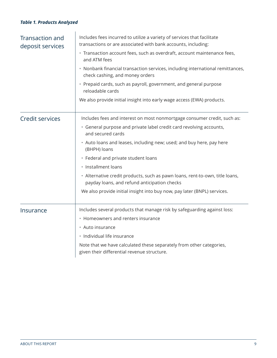### *Table 1. Products Analyzed*

| Transaction and<br>deposit services | Includes fees incurred to utilize a variety of services that facilitate<br>transactions or are associated with bank accounts, including:<br>· Transaction account fees, such as overdraft, account maintenance fees,<br>and ATM fees<br>• Nonbank financial transaction services, including international remittances,<br>check cashing, and money orders<br>• Prepaid cards, such as payroll, government, and general purpose<br>reloadable cards<br>We also provide initial insight into early wage access (EWA) products.           |
|-------------------------------------|----------------------------------------------------------------------------------------------------------------------------------------------------------------------------------------------------------------------------------------------------------------------------------------------------------------------------------------------------------------------------------------------------------------------------------------------------------------------------------------------------------------------------------------|
| Credit services                     | Includes fees and interest on most nonmortgage consumer credit, such as:<br>• General purpose and private label credit card revolving accounts,<br>and secured cards<br>• Auto loans and leases, including new; used; and buy here, pay here<br>(BHPH) loans<br>• Federal and private student loans<br>· Installment loans<br>• Alternative credit products, such as pawn loans, rent-to-own, title loans,<br>payday loans, and refund anticipation checks<br>We also provide initial insight into buy now, pay later (BNPL) services. |
| Insurance                           | Includes several products that manage risk by safeguarding against loss:<br>• Homeowners and renters insurance<br>• Auto insurance<br>· Individual life insurance<br>Note that we have calculated these separately from other categories,<br>given their differential revenue structure.                                                                                                                                                                                                                                               |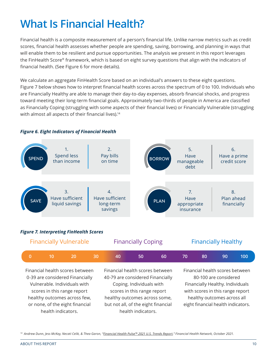### **What Is Financial Health?**

Financial health is a composite measurement of a person's financial life. Unlike narrow metrics such as credit scores, financial health assesses whether people are spending, saving, borrowing, and planning in ways that will enable them to be resilient and pursue opportunities. The analysis we present in this report leverages the FinHealth Score® framework, which is based on eight survey questions that align with the indicators of financial health. (See Figure 6 for more details).

We calculate an aggregate FinHealth Score based on an individual's answers to these eight questions. Figure 7 below shows how to interpret financial health scores across the spectrum of 0 to 100. Individuals who are Financially Healthy are able to manage their day-to-day expenses, absorb financial shocks, and progress toward meeting their long-term financial goals. Approximately two-thirds of people in America are classified as Financially Coping (struggling with some aspects of their financial lives) or Financially Vulnerable (struggling with almost all aspects of their financial lives).<sup>14</sup>

#### 1. Spend less than income SAVE **BORROV** PLAN 2. Pay bills on time 3. Have sufficient liquid savings 4. Have sufficient long-term savings 5. Have manageable debt 6. Have a prime credit score 7. Have appropriate insurance 8. Plan ahead financially

### *Figure 6. Eight Indicators of Financial Health*

### *Figure 7. Interpreting FinHealth Scores*

| <b>Financially Vulnerable</b> |  |  | <b>Financially Coping</b> |     |  | <b>Financially Healthy</b> |  |    |    |     |
|-------------------------------|--|--|---------------------------|-----|--|----------------------------|--|----|----|-----|
|                               |  |  |                           | 40. |  | 60                         |  | 80 | 90 | 100 |

Financial health scores between 0-39 are considered Financially Vulnerable. Individuals with scores in this range report healthy outcomes across few, or none, of the eight financial health indicators.

Financial health scores between 40-79 are considered Financially Coping. Individuals with scores in this range report healthy outcomes across some, but not all, of the eight financial health indicators.

Financial health scores between 80-100 are considered Financially Healthy. Individuals with scores in this range report healthy outcomes across all eight financial health indicators.

*14 Andrew Dunn, Jess McKay, Necati Celik, & Thea Garon, ["Financial Health Pulse™ 2021 U.S. Trends Report,](https://finhealthnetwork.org/research/financial-health-pulse-2021-u-s-trends/)" Financial Health Network, October 2021.*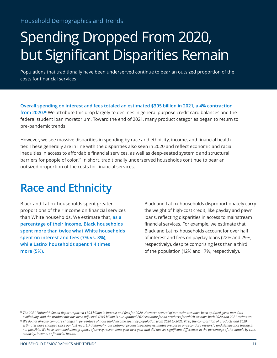# <span id="page-11-0"></span>Spending Dropped From 2020, but Significant Disparities Remain

Populations that traditionally have been underserved continue to bear an outsized proportion of the costs for financial services.

**Overall spending on interest and fees totaled an estimated \$305 billion in 2021, a 4% contraction from 2020.15** We attribute this drop largely to declines in general purpose credit card balances and the federal student loan moratorium. Toward the end of 2021, many product categories began to return to pre-pandemic trends.

However, we see massive disparities in spending by race and ethnicity, income, and financial health tier. These generally are in line with the disparities also seen in 2020 and reflect economic and racial inequities in access to affordable financial services, as well as deep-seated systemic and structural barriers for people of color.<sup>16</sup> In short, traditionally underserved households continue to bear an outsized proportion of the costs for financial services.

### **Race and Ethnicity**

Black and Latinx households spent greater proportions of their income on financial services than White households. We estimate that, **as a percentage of their income, Black households spent more than twice what White households spent on interest and fees (7% vs. 3%), while Latinx households spent 1.4 times more (5%).** 

Black and Latinx households disproportionately carry the weight of high-cost credit, like payday and pawn loans, reflecting disparities in access to mainstream financial services. For example, we estimate that Black and Latinx households account for over half of interest and fees on payday loans (22% and 29%, respectively), despite comprising less than a third of the population (12% and 17%, respectively).

*<sup>15</sup> The 2021 FinHealth Spend Report reported \$303 billion in interest and fees for 2020. However, several of our estimates have been updated given new data availability, and the product mix has been adjusted. \$319 billion is our updated 2020 estimate for all products for which we have both 2020 and 2021 estimates.*

*<sup>16</sup> We do not directly compare changes in percentage of household income spent by population from 2020 to 2021. First, the composition of products and 2020 estimates have changed since our last report. Additionally, our national product spending estimates are based on secondary research, and significance testing is not possible. We have examined demographics of survey respondents year over year and did not see significant differences in the percentage of the sample by race, ethnicity, income, or financial health.*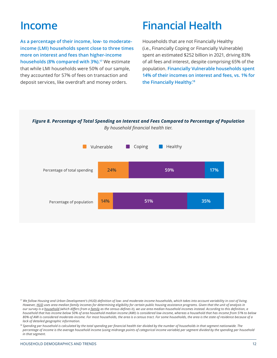### <span id="page-12-0"></span>**Income**

**As a percentage of their income, low- to moderateincome (LMI) households spent close to three times more on interest and fees than higher-income households (8% compared with 3%).17** We estimate that while LMI households were 50% of our sample, they accounted for 57% of fees on transaction and deposit services, like overdraft and money orders.

### **Financial Health**

Households that are not Financially Healthy (i.e., Financially Coping or Financially Vulnerable) spent an estimated \$252 billion in 2021, driving 83% of all fees and interest, despite comprising 65% of the population. **Financially Vulnerable households spent 14% of their incomes on interest and fees, vs. 1% for the Financially Healthy.18**





*<sup>17</sup> We follow Housing and Urban Development's (HUD) definition of low- and moderate-income households, which takes into account variability in cost of living. However, [HUD](https://www.huduser.gov/portal/datasets/il//il21/IncomeLimitsMethodology-FY21.pdf) uses area median family incomes for determining eligibility for certain public housing assistance programs. Given that the unit of analysis in our survey is a [household](https://www.census.gov/programs-surveys/cps/technical-documentation/subject-definitions.html#household)* (which differs from a *[family](https://www.census.gov/programs-surveys/cps/technical-documentation/subject-definitions.html#family)* as the census defines it), we use area median household incomes instead. According to this definition, a *household that has income below 50% of area household median income (AMI) is considered low-income, whereas a household that has income from 51% to below 80% of AMI is considered moderate-income. For most households, the area is a census tract. For some households, the area is the state of residence because of a lack of detailed geographic information.* 

<sup>18</sup> Spending per household is calculated by the total spending per financial health tier divided by the number of households in that segment nationwide. The *percentage of income is the average household income (using midrange points of categorical income variable) per segment divided by the spending per household in that segment.*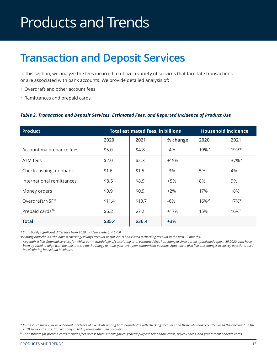# <span id="page-13-0"></span>Products and Trends

### **Transaction and Deposit Services**

In this section, we analyze the fees incurred to utilize a variety of services that facilitate transactions or are associated with bank accounts. We provide detailed analysis of:

- Overdraft and other account fees
- Remittances and prepaid cards

### *Table 2. Transaction and Deposit Services, Estimated Fees, and Reported Incidence of Product Use*

| <b>Product</b>              |        | <b>Total estimated fees, in billions</b> | <b>Household incidence</b> |               |                     |
|-----------------------------|--------|------------------------------------------|----------------------------|---------------|---------------------|
|                             | 2020   | 2021                                     | % change                   | 2020          | 2021                |
| Account maintenance fees    | \$5.0  | \$4.8                                    | $-4%$                      | $19\%^{\Psi}$ | $19\%^{\psi}$       |
| ATM fees                    | \$2.0  | \$2.3                                    | +15%                       |               | $37\%$ <sup>Ψ</sup> |
| Check cashing, nonbank      | \$1.6  | \$1.5                                    | $-3%$                      | 5%            | 4%                  |
| International remittances   | \$8.5  | \$8.9                                    | $+5%$                      | 8%            | 9%                  |
| Money orders                | \$0.9  | \$0.9                                    | $+2\%$                     | 17%           | 18%                 |
| Overdraft/NSF <sup>19</sup> | \$11.4 | \$10.7                                   | -6%                        | $16\%^{\psi}$ | $17\%^{\psi}$       |
| Prepaid cards <sup>20</sup> | \$6.2  | \$7.2                                    | $+17%$                     | 15%           | 16%*                |
| <b>Total</b>                | \$35.4 | \$36.4                                   | $+3%$                      |               |                     |

*\* Statistically significant difference from 2020 incidence rate (p < 0.05).*

*Ψ Among households who have a checking/savings account or (for 2021) had closed a checking account in the past 12 months.*

*Appendix II lists financial services for which our methodology of calculating total estimated fees has changed since our last published report. All 2020 data have been updated to align with the most recent methodology to make year-over-year comparison possible. Appendix II also lists the changes in survey questions used in calculating household incidence.*

*20 The estimate for prepaid cards includes fees across three subcategories: general purpose reloadable cards, payroll cards, and government benefits cards.*

<sup>&</sup>lt;sup>19</sup> In the 2021 survey, we asked about incidence of overdraft among both households with checking accounts and those who had recently closed their account. In the *2020 survey, the question was only asked of those with open accounts.*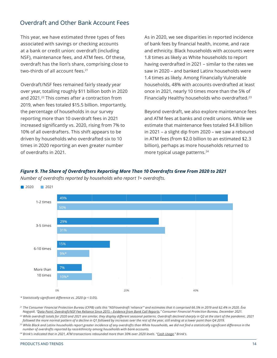### <span id="page-14-0"></span>Overdraft and Other Bank Account Fees

This year, we have estimated three types of fees associated with savings or checking accounts at a bank or credit union: overdraft (including NSF), maintenance fees, and ATM fees. Of these, overdraft has the lion's share, comprising close to two-thirds of all account fees.21

Overdraft/NSF fees remained fairly steady year over year, totalling roughly \$11 billion both in 2020 and 2021.22 This comes after a contraction from 2019, when fees totaled \$15.5 billion. Importantly, the percentage of households in our survey reporting more than 10 overdraft fees in 2021 increased significantly vs. 2020, rising from 7% to 10% of all overdrafters. This shift appears to be driven by households who overdrafted six to 10 times in 2020 reporting an even greater number of overdrafts in 2021.

As in 2020, we see disparities in reported incidence of bank fees by financial health, income, and race and ethnicity. Black households with accounts were 1.8 times as likely as White households to report having overdrafted in 2021 – similar to the rates we saw in 2020 – and banked Latinx households were 1.4 times as likely. Among Financially Vulnerable households, 48% with accounts overdrafted at least once in 2021, nearly 10 times more than the 5% of Financially Healthy households who overdrafted.23

Beyond overdraft, we also explore maintenance fees and ATM fees at banks and credit unions. While we estimate that maintenance fees totaled \$4.8 billion in 2021 – a slight dip from 2020 – we saw a rebound in ATM fees (from \$2.0 billion to an estimated \$2.3 billion), perhaps as more households returned to more typical usage patterns.<sup>24</sup>





*\* Statistically significant difference vs. 2020 (p < 0.05).*

*<sup>21</sup> The Consumer Financial Protection Bureau (CFPB) calls this "NSF/overdraft 'reliance'" and estimates that it comprised 66.5% in 2019 and 62.4% in 2020. Éva Nagypál, "[Data Point: Overdraft/NSF Fee Reliance Since 2015 – Evidence from Bank Call Reports](https://files.consumerfinance.gov/f/documents/cfpb_overdraft-call_report_2021-12.pdf)," Consumer Financial Protection Bureau, December 2021.*

*<sup>22</sup> While overdraft totals for 2020 and 2021 are similar, they display different seasonal patterns. Overdraft declined sharply in Q2 at the start of the pandemic. 2021 followed the more normal pattern of a decline in Q1 followed by increases over the rest of the year, still ending at a lower point than Q4 2019.*

*<sup>23</sup> While Black and Latinx households report greater incidence of any overdrafts than White households, we did not find a statistically significant difference in the number of overdrafts reported by race/ethnicity among households with bank accounts.* 

*24 Brink's indicated that in 2021, ATM transactions rebounded more than 30% over 2020 levels. "[Cash Usage](https://investors.brinks.com/cash-usage)," Brink's.*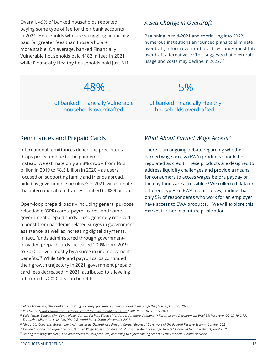<span id="page-15-0"></span>Overall, 49% of banked households reported paying some type of fee for their bank accounts in 2021. Households who are struggling financially paid far greater fees than those who are more stable. On average, banked Financially Vulnerable households paid \$182 in fees in 2021, while Financially Healthy households paid just \$11.

### *A Sea Change in Overdraft*

Beginning in mid-2021 and continuing into 2022, numerous institutions announced plans to eliminate overdraft, reform overdraft practices, and/or institute overdraft alternatives.<sup>25</sup> This suggests that overdraft usage and costs may decline in 2022.<sup>26</sup>

### 48%

of banked Financially Vulnerable households overdrafted.

5%

of banked Financially Healthy households overdrafted.

### Remittances and Prepaid Cards *What About Earned Wage Access?*

International remittances defied the precipitous drops projected due to the pandemic. Instead, we estimate only an 8% drop – from \$9.2 billion in 2019 to \$8.5 billion in 2020 – as users focused on supporting family and friends abroad, aided by government stimulus.<sup>27</sup> In 2021, we estimate that international remittances climbed to \$8.9 billion.

Open-loop prepaid loads – including general purpose reloadable (GPR) cards, payroll cards, and some government prepaid cards – also generally received a boost from pandemic-related surges in government assistance, as well as increasing digital payments. In fact, funds administered through governmentprovided prepaid cards increased 200% from 2019 to 2020, driven mostly by a surge in unemployment benefits.28 While GPR and payroll cards continued their growth trajectory in 2021, government prepaid card fees decreased in 2021, attributed to a leveling off from this 2020 peak in benefits.

There is an ongoing debate regarding whether earned wage access (EWA) products should be regulated as credit. These products are designed to address liquidity challenges and provide a means for consumers to access wages before payday or the day funds are accessible.<sup>29</sup> We collected data on different types of EWA in our survey, finding that only 5% of respondents who work for an employer have access to EWA products.<sup>30</sup> We will explore this market further in a future publication.

*<sup>25</sup> Alicia Adamcyzk, ["Big banks are slashing overdraft fees—here's how to avoid them altogether](https://www.cnbc.com/2022/01/19/bank-of-america-wells-fargo-announce-changes-to-overdraft-fees.html)," CNBC, January 2022.*

*<sup>26</sup> Ken Sweet, "[Banks slowly reconsider overdraft fees, amid public pressure,](https://abcnews.go.com/Business/wireStory/banks-slowly-reconsider-overdraft-fees-amid-public-pressure-81742084)" ABC News, December 2021.*

*<sup>27</sup> Dilip Ratha, Eung Ju Kim, Sonia Plaza, Ganesh Seshan, Elliott J Riordan, & Vandana Chandra, "[Migration and Development Brief 35: Recovery: COVID-19 Crisis](https://www.knomad.org/publication/migration-and-development-brief-35)  [Through a Migration Lens,](https://www.knomad.org/publication/migration-and-development-brief-35)" KNOMAD & World Bank Group, November 2021.*

*<sup>28 &</sup>quot;[Report to Congress, Government-Administered, General-Use Prepaid Cards,](https://www.federalreserve.gov/publications/files/government-prepaid-report-202110.pdf)" Board of Governors of the Federal Reserve System, October 2021.*

*<sup>29</sup> Devina Khanna and Arjun Kaushal, "[Earned Wage Access and Direct-to-Consumer Advance Usage Trends,](https://s3.amazonaws.com/cfsi-innovation-files-2018/wp-content/uploads/2021/04/26190749/EWA_D2C_Advance-_sage_Trends_FINAL.pdf)" Financial Health Network, April 2021.* 

*<sup>30</sup> Among low-wage workers, 13% have access to EWA products, according to a forthcoming report by the Financial Health Network.*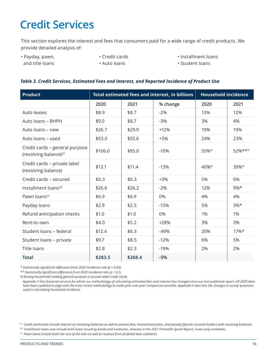### <span id="page-16-0"></span>**Credit Services**

This section explores the interest and fees that consumers paid for a wide range of credit products. We provide detailed analysis of:

• Payday, pawn, and title loans

• Credit cards

• Installment loans

• Auto loans

• Student loans

### *Table 3. Credit Services, Estimated Fees and Interest, and Reported Incidence of Product Use*

| <b>Product</b>                                                      |         |         | Total estimated fees and interest, in billions | <b>Household incidence</b>          |               |  |
|---------------------------------------------------------------------|---------|---------|------------------------------------------------|-------------------------------------|---------------|--|
|                                                                     | 2020    | 2021    | % change                                       | 2020                                | 2021          |  |
| Auto leases                                                         | \$8.9   | \$8.7   | $-2%$                                          | 13%                                 | 12%           |  |
| Auto loans - BHPH                                                   | \$9.0   | \$8.7   | $-3%$                                          | 3%                                  | 4%            |  |
| Auto loans - new                                                    | \$26.7  | \$29.9  | $+12%$                                         | 19%                                 | 19%           |  |
| Auto loans - used                                                   | \$53.0  | \$55.6  | $+5%$                                          | 24%                                 | 23%           |  |
| Credit cards - general purpose<br>(revolving balance) <sup>31</sup> | \$106.0 | \$95.0  | $-10%$                                         | $55\%$ <sup><math>\psi</math></sup> | 52%**Ψ        |  |
| Credit cards - private label<br>(revolving balance)                 | \$13.1  | \$11.4  | $-13%$                                         | $40\%^{\Psi}$                       | $39\%^{\Psi}$ |  |
| Credit cards - secured                                              | \$0.3   | \$0.3   | $+3%$                                          | 5%                                  | 6%            |  |
| Installment loans <sup>32</sup>                                     | \$26.6  | \$26.2  | $-2%$                                          | 12%                                 | $9\%*$        |  |
| Pawn loans <sup>33</sup>                                            | \$6.9   | \$6.9   | 0%                                             | 4%                                  | 4%            |  |
| Payday loans                                                        | \$2.9   | \$2.5   | $-15%$                                         | 5%                                  | $3%*$         |  |
| Refund anticipation checks                                          | \$1.0   | \$1.0   | 0%                                             | 1%                                  | 1%            |  |
| Rent-to-own                                                         | \$4.0   | \$5.2   | $+28%$                                         | 3%                                  | 3%            |  |
| Student loans - federal                                             | \$12.4  | \$6.3   | $-49%$                                         | 20%                                 | $17%$ *       |  |
| Student loans - private                                             | \$9.7   | \$8.5   | $-12%$                                         | 6%                                  | 5%            |  |
| Title loans                                                         | \$2.8   | \$2.3   | $-19%$                                         | 2%                                  | 2%            |  |
| <b>Total</b>                                                        | \$283.5 | \$268.4 | $-5%$                                          |                                     |               |  |

*\* Statistically significant difference from 2020 incidence rate (p < 0.05).*

*\*\* Statistically significant difference from 2020 incidence rate (p < 0.1).*

*Ψ Among households holding general purpose or private label credit cards.*

*Appendix II lists financial services for which our methodology of calculating estimated fees and interest has changed since our last published report. All 2020 data have been updated to align with the most recent methodology to make year-over-year comparison possible. Appendix II also lists the changes in survey questions used in calculating household incidence.*

*33 Pawn loans include both the cost of the loan as well as revenue from forfeited loan collateral.*

*<sup>31</sup> Credit card totals include interest on revolving balances as well as annual fees, transactional fees, and penalty fees for account holders with revolving balances.*

*<sup>32</sup> Installment loans now include both loans issued by banks and nonbanks, whereas in the 2021 FinHealth Spend Report, it was only nonbanks.*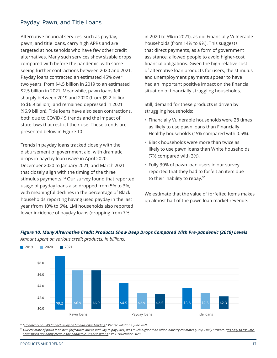### <span id="page-17-0"></span>Payday, Pawn, and Title Loans

Alternative financial services, such as payday, pawn, and title loans, carry high APRs and are targeted at households who have few other credit alternatives. Many such services show sizable drops compared with before the pandemic, with some seeing further contractions between 2020 and 2021. Payday loans contracted an estimated 45% over two years, from \$4.5 billion in 2019 to an estimated \$2.5 billion in 2021. Meanwhile, pawn loans fell sharply between 2019 and 2020 (from \$9.2 billion to \$6.9 billion), and remained depressed in 2021 (\$6.9 billion). Title loans have also seen contractions, both due to COVID-19 trends and the impact of state laws that restrict their use. These trends are presented below in Figure 10.

Trends in payday loans tracked closely with the disbursement of government aid, with dramatic drops in payday loan usage in April 2020, December 2020 to January 2021, and March 2021 that closely align with the timing of the three stimulus payments.34 Our survey found that reported usage of payday loans also dropped from 5% to 3%, with meaningful declines in the percentage of Black households reporting having used payday in the last year (from 10% to 6%). LMI households also reported lower incidence of payday loans (dropping from 7%

in 2020 to 5% in 2021), as did Financially Vulnerable households (from 14% to 9%). This suggests that direct payments, as a form of government assistance, allowed people to avoid higher-cost financial obligations. Given the high relative cost of alternative loan products for users, the stimulus and unemployment payments appear to have had an important positive impact on the financial situation of financially struggling households.

Still, demand for these products is driven by struggling households:

- Financially Vulnerable households were 28 times as likely to use pawn loans than Financially Healthy households (15% compared with 0.5%).
- Black households were more than twice as likely to use pawn loans than White households (7% compared with 3%).
- Fully 30% of pawn loan users in our survey reported that they had to forfeit an item due to their inability to repay.<sup>35</sup>

We estimate that the value of forfeited items makes up almost half of the pawn loan market revenue.



*Figure 10. Many Alternative Credit Products Show Deep Drops Compared With Pre-pandemic (2019) Levels Amount spent on various credit products, in billions.*

*34 "[Update: COVID-19 Impact Study on Small-Dollar Lending,](https://www.veritecs.com/2021-update-covid-19-impact-study-on-small-dollar-lending/)" Veritec Solutions, June 2021.* 

*35 Our estimate of pawn loan item forfeitures due to inability to pay (30%) was much higher than other industry estimates (15%). Emily Stewart, "[It's easy to assume](https://www.vox.com/the-goods/21611583/pawn-shop-covid-19-economy)  [pawnshops are doing great in the pandemic. It's also wrong](https://www.vox.com/the-goods/21611583/pawn-shop-covid-19-economy)," Vox, November 2020.*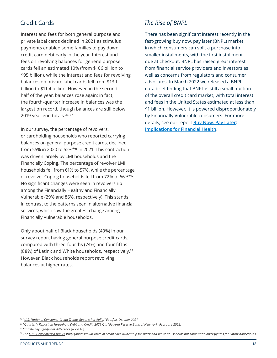Interest and fees for both general purpose and private label cards declined in 2021 as stimulus payments enabled some families to pay down credit card debt early in the year. Interest and fees on revolving balances for general purpose cards fell an estimated 10% (from \$106 billion to \$95 billion), while the interest and fees for revolving balances on private label cards fell from \$13.1 billion to \$11.4 billion. However, in the second half of the year, balances rose again; in fact, the fourth-quarter increase in balances was the largest on record, though balances are still below 2019 year-end totals.<sup>36, 37</sup>

In our survey, the percentage of revolvers, or cardholding households who reported carrying balances on general purpose credit cards, declined from 55% in 2020 to 52%\*\* in 2021. This contraction was driven largely by LMI households and the Financially Coping. The percentage of revolver LMI households fell from 61% to 57%, while the percentage of revolver Coping households fell from 72% to 66%\*\*. No significant changes were seen in revolvership among the Financially Healthy and Financially Vulnerable (29% and 86%, respectively). This stands in contrast to the patterns seen in alternative financial services, which saw the greatest change among Financially Vulnerable households.

Only about half of Black households (49%) in our survey report having general purpose credit cards, compared with three-fourths (74%) and four-fifths (88%) of Latinx and White households, respectively.38 However, Black households report revolving balances at higher rates.

### <span id="page-18-0"></span>Credit Cards *The Rise of BNPL*

There has been significant interest recently in the fast-growing buy now, pay later (BNPL) market, in which consumers can split a purchase into smaller installments, with the first installment due at checkout. BNPL has raised great interest from financial service providers and investors as well as concerns from regulators and consumer advocates. In March 2022 we released a BNPL data brief finding that BNPL is still a small fraction of the overall credit card market, with total interest and fees in the United States estimated at less than \$1 billion. However, it is powered disproportionately by Financially Vulnerable consumers. For more details, see our report **[Buy Now, Pay Later:](https://finhealthnetwork.org/research/buy-now-pay-later-implications-for-financial-health/)  [Implications for Financial Health](https://finhealthnetwork.org/research/buy-now-pay-later-implications-for-financial-health/)**.

*<sup>36 &</sup>quot;[U.S. National Consumer Credit Trends Report: Portfolio,](https://www.equifax.com/resource/-/asset/consumer-report/monthly-national-consumer-credit-report-portfolio-oct-2021/)" Equifax, October 2021.*

*<sup>37 &</sup>quot;[Quarterly Report on Household Debt and Credit: 2021 Q4,](https://www.newyorkfed.org/medialibrary/interactives/householdcredit/data/pdf/hhdc_2021q4.pdf)" Federal Reserve Bank of New York, February 2022.*

*<sup>\*\*</sup> Statistically significant difference (p < 0.10).*

*<sup>38</sup> The [FDIC How America Banks](https://www.fdic.gov/analysis/household-survey/2019appendix.pdf) study found similar rates of credit card ownership for Black and White households but somewhat lower figures for Latinx households.*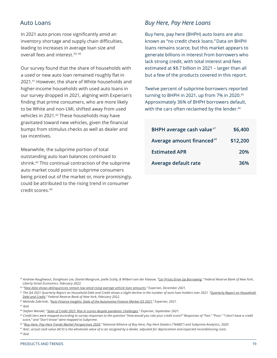In 2021 auto prices rose significantly amid an inventory shortage and supply chain difficulties, leading to increases in average loan size and overall fees and interest.39, 40

Our survey found that the share of households with a used or new auto loan remained roughly flat in 2021.41 However, the share of White households and higher-income households with used auto loans in our survey dropped in 2021, aligning with Experian's finding that prime consumers, who are more likely to be White and non-LMI, shifted away from used vehicles in 2021.42 These households may have gravitated toward new vehicles, given the financial bumps from stimulus checks as well as dealer and tax incentives.

Meanwhile, the subprime portion of total outstanding auto loan balances continued to shrink.43 This continual contraction of the subprime auto market could point to subprime consumers being priced out of the market or, more promisingly, could be attributed to the rising trend in consumer credit scores.44

### <span id="page-19-0"></span>Auto Loans *Buy Here, Pay Here Loans*

Buy here, pay here (BHPH) auto loans are also known as "no credit check loans." Data on BHPH loans remains scarce, but this market appears to generate billions in interest from borrowers who lack strong credit, with total interest and fees estimated at \$8.7 billion in 2021 – larger than all but a few of the products covered in this report.

Twelve percent of subprime borrowers reported turning to BHPH in 2021, up from 7% in 2020.45 Approximately 36% of BHPH borrowers default, with the cars often reclaimed by the lender.<sup>46</sup>

| BHPH average cash value <sup>47</sup> | \$6,400  |
|---------------------------------------|----------|
| Average amount financed <sup>48</sup> | \$12,200 |
| <b>Estimated APR</b>                  | 20%      |
| Average default rate                  | 36%      |

*46 "[Buy-Here, Pay-Here Trends Market Perspectives 2020,](https://www.sgcaccounting.com/Resources/BHPHBenchmarks2020.pdf)" National Alliance of Buy Here, Pay Here Dealers ("NABD") and Subprime Analytics, 2020.*

*47 Ibid.; actual cash value (ACV) is the wholesale value of a car assigned by a dealer, adjusted for depreciation and expected reconditioning costs.*

*48 Ibid.*

*<sup>39</sup> Andrew Haughwout, Donghoon Lee, Daniel Mangrum, Joelle Scally, & Wilbert van der Klaauw, "[Car Prices Drive Up Borrowing](https://libertystreeteconomics.newyorkfed.org/2022/02/car-prices-drive-up-borrowing/)," Federal Reserve Bank of New York, Liberty Street Economics, February 2022.*

*<sup>40 &</sup>quot;[New data shows delinquencies remain low amid rising average vehicle loan amounts](https://www.experianplc.com/media/latest-news/2021/new-data-shows-delinquencies-remain-low-amid-rising-average-vehicle-loan-amounts/)," Experian, December 2021.*

*<sup>41</sup> The Q4 2021 Quarterly Report on Household Debt and Credit shows a slight decline in the number of auto loan holders over 2021. "[Quarterly Report on Household](https://www.newyorkfed.org/medialibrary/interactives/householdcredit/data/pdf/hhdc_2021q4.pdf)  [Debt and Credit,](https://www.newyorkfed.org/medialibrary/interactives/householdcredit/data/pdf/hhdc_2021q4.pdf)" Federal Reserve Bank of New York, February 2022.*

*<sup>42</sup> Melinda Zabritski, ["Auto Finance Insights: State of the Automotive Finance Market Q3 2021,](https://www.experian.com/automotive/auto-credit-webinar-form)" Experian, 2021.*

*<sup>43</sup> Ibid.*

*<sup>44</sup> Stefani Wendel, "[State of Credit 2021: Rise in scores despite pandemic challenges,](https://www.experian.com/blogs/insights/2021/09/state-of-credit-2021/)" Experian, September 2021.*

*<sup>45</sup> Credit tiers were mapped according to survey responses to the question "How would you rate your credit score?" Responses of "Fair," "Poor," "I don't have a credit score," and "Don't know" were mapped to Subprime.*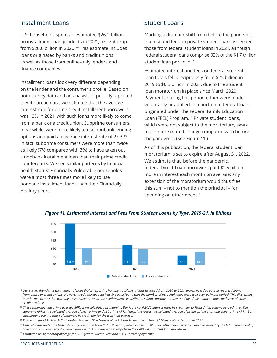### <span id="page-20-0"></span>Installment Loans

U.S. households spent an estimated \$26.2 billion on installment loan products in 2021, a slight drop from \$26.6 billion in 2020.<sup>49</sup> This estimate includes loans originated by banks and credit unions as well as those from online-only lenders and finance companies.

Installment loans look very different depending on the lender and the consumer's profile. Based on both survey data and an analysis of publicly reported credit bureau data, we estimate that the average interest rate for prime credit installment borrowers was 13% in 2021, with such loans more likely to come from a bank or a credit union. Subprime consumers, meanwhile, were more likely to use nonbank lending options and paid an average interest rate of 27%.<sup>50</sup> In fact, subprime consumers were more than twice as likely (7% compared with 3%) to have taken out a nonbank installment loan than their prime credit counterparts. We see similar patterns by financial health status: Financially Vulnerable households were almost three times more likely to use nonbank installment loans than their Financially Healthy peers.

### Student Loans

Marking a dramatic shift from before the pandemic, interest and fees on private student loans exceeded those from federal student loans in 2021, although federal student loans comprise 92% of the \$1.7 trillion student loan portfolio.<sup>51</sup>

Estimated interest and fees on federal student loan totals fell precipitously from \$25 billion in 2019 to \$6.3 billion in 2021, due to the student loan moratorium in place since March 2020. Payments during this period either were made voluntarily or applied to a portion of federal loans originated under the Federal Family Education Loan (FFEL) Program.<sup>52</sup> Private student loans, which were not subject to the moratorium, saw a much more muted change compared with before the pandemic. (See Figure 11.)

As of this publication, the federal student loan moratorium is set to expire after August 31, 2022. We estimate that, before the pandemic, federal Direct Loan borrowers paid \$1.5 billion more in interest each month on average; any extension of the moratorium would thus free this sum – not to mention the principal – for spending on other needs.<sup>53</sup>



#### *Figure 11. Estimated Interest and Fees From Student Loans by Type, 2019-21, in Billions*

*49 Our survey found that the number of households reporting holding installment loans dropped from 2020 to 2021, driven by a decrease in reported loans from banks or credit unions. However, credit bureaus such as [Experian](https://assets.equifax.com/marketing/US/assets/monthly-national-consumer-credit-report-portfolio-oct-2021.pdf) found that the number of personal loans increased over a similar period. This discrepancy may be due to question wording, respondent error, or the overlap between definitions (and consumer understanding of) installment loans and several other credit products.* 

*50 These subprime and prime average APRs were calculated by mapping Bankrate April 2021 interest rates by credit tier to TransUnion volume by credit tier. The subprime APR is the weighted average of near prime and subprime APRs. The prime rate is the weighted average of prime, prime plus, and super prime APRs. Both calculations use the share of balances by credit tier for the weighted average.*

*51 Elan Amir, Jared Teslow, & Christopher Borders, "[The MeasureOne Private Student Loan Report,](https://www.measureone.com/resources)" MeasureOne, December 2021.*

*52 Federal loans under the Federal Family Education Loan (FFEL) Program, which ended in 2010, are either commercially owned or owned by the U.S. Department of Education. The commercially owned portion of FFEL loans was exempt from the CARES Act student loan moratorium.* 

*53 Estimated using monthly average for 2019 federal Direct Loan and FFELP interest payments.*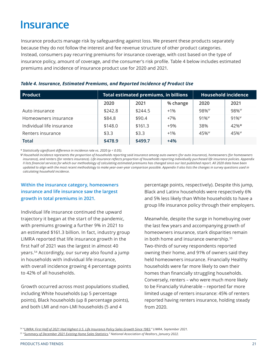### <span id="page-21-0"></span>**Insurance**

Insurance products manage risk by safeguarding against loss. We present these products separately because they do not follow the interest and fee revenue structure of other product categories. Instead, consumers pay recurring premiums for insurance coverage, with cost based on the type of insurance policy, amount of coverage, and the consumer's risk profile. Table 4 below includes estimated premiums and incidence of insurance product use for 2020 and 2021.

| <b>Product</b>            |         | <b>Total estimated premiums, in billions</b> | <b>Household incidence</b> |               |                     |
|---------------------------|---------|----------------------------------------------|----------------------------|---------------|---------------------|
|                           | 2020    | 2021                                         | % change                   | 2020          | 2021                |
| Auto insurance            | \$242.8 | \$244.5                                      | $+1%$                      | $98\%^{\psi}$ | $98\%$ <sup>Ψ</sup> |
| Homeowners insurance      | \$84.8  | \$90.4                                       | $+7%$                      | $91\%^{\psi}$ | $91\%^{\psi}$       |
| Individual life insurance | \$148.0 | \$161.3                                      | $+9%$                      | 38%           | $42%$ *             |
| Renters insurance         | \$3.3   | \$3.3                                        | $+1%$                      | $45%^{\Psi}$  | $45%^{\psi}$        |
| <b>Total</b>              | \$478.9 | \$499.7                                      | $+4%$                      |               |                     |

### *Table 4. Insurance, Estimated Premiums, and Reported Incidence of Product Use*

*\* Statistically significant difference in incidence rate vs. 2020 (p < 0.05).*

*Ψ Household incidence represents the proportion of households reporting said insurance among auto owners (for auto insurance), homeowners (for homeowners insurance), and renters (for renters insurance). Life insurance reflects proportion of households reporting individually purchased life insurance policies. Appendix II lists financial services for which our methodology of calculating estimated premiums has changed since our last published report. All 2020 data have been updated to align with the most recent methodology to make year-over-year comparison possible. Appendix II also lists the changes in survey questions used in calculating household incidence.*

### **Within the insurance category, homeowners insurance and life insurance saw the largest growth in total premiums in 2021.**

Individual life insurance continued the upward trajectory it began at the start of the pandemic, with premiums growing a further 9% in 2021 to an estimated \$161.3 billion. In fact, industry group LIMRA reported that life insurance growth in the first half of 2021 was the largest in almost 40 years.54 Accordingly, our survey also found a jump in households with individual life insurance, with overall incidence growing 4 percentage points to 42% of all households.

Growth occurred across most populations studied, including White households (up 5 percentage points), Black households (up 8 percentage points), and both LMI and non-LMI households (5 and 4

percentage points, respectively). Despite this jump, Black and Latinx households were respectively 6% and 5% less likely than White households to have a group life insurance policy through their employers.

Meanwhile, despite the surge in homebuying over the last few years and accompanying growth of homeowners insurance, stark disparities remain in both home and insurance ownership.<sup>55</sup> Two-thirds of survey respondents reported owning their home, and 91% of owners said they held homeowners insurance. Financially Healthy households were far more likely to own their homes than financially struggling households. Conversely, renters – who were much more likely to be Financially Vulnerable – reported far more limited usage of renters insurance: 45% of renters reported having renters insurance, holding steady from 2020.

*<sup>54 &</sup>quot;[LIMRA: First Half of 2021 Had Highest U.S. Life Insurance Policy Sales Growth Since 1983](https://www.limra.com/en/newsroom/news-releases/2021/limra-first-half-of-2021-had-highest-u.s.-life-insurance-policy-sales-growth-since-1983/)," LIMRA, September 2021.*

*<sup>55 &</sup>quot;[Summary of December 2021 Existing Home Sales Statistics](https://www.nar.realtor/research-and-statistics/housing-statistics/existing-home-sales)," National Association of Realtors, January 2022.*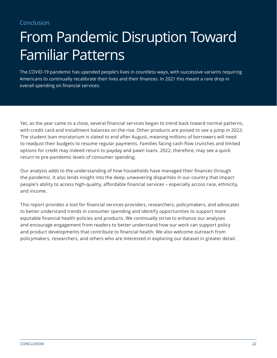<span id="page-22-0"></span>Conclusion

# From Pandemic Disruption Toward Familiar Patterns

The COVID-19 pandemic has upended people's lives in countless ways, with successive variants requiring Americans to continually recalibrate their lives and their finances. In 2021 this meant a rare drop in overall spending on financial services.

Yet, as the year came to a close, several financial services began to trend back toward normal patterns, with credit card and installment balances on the rise. Other products are poised to see a jump in 2022: The student loan moratorium is slated to end after August, meaning millions of borrowers will need to readjust their budgets to resume regular payments. Families facing cash-flow crunches and limited options for credit may indeed return to payday and pawn loans. 2022, therefore, may see a quick return to pre-pandemic levels of consumer spending.

Our analysis adds to the understanding of how households have managed their finances through the pandemic. It also lends insight into the deep, unwavering disparities in our country that impact people's ability to access high-quality, affordable financial services – especially across race, ethnicity, and income.

This report provides a tool for financial services providers, researchers, policymakers, and advocates to better understand trends in consumer spending and identify opportunities to support more equitable financial health policies and products. We continually strive to enhance our analyses and encourage engagement from readers to better understand how our work can support policy and product developments that contribute to financial health. We also welcome outreach from policymakers, researchers, and others who are interested in exploring our dataset in greater detail.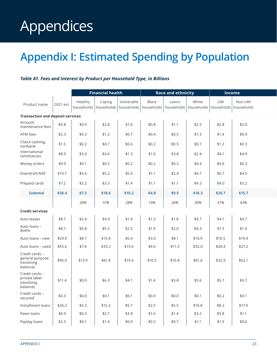# <span id="page-23-0"></span>Appendices

### **Appendix I: Estimated Spending by Population**

### *Table A1. Fees and Interest by Product per Household Type, in Billions*

|                                                             |           | <b>Financial health</b> |                                   |                          |                            | <b>Race and ethnicity</b> |                     | <b>Income</b>     |                       |  |
|-------------------------------------------------------------|-----------|-------------------------|-----------------------------------|--------------------------|----------------------------|---------------------------|---------------------|-------------------|-----------------------|--|
| Product name                                                | 2021 est. | Healthy                 | Coping<br>households   households | Vulnerable<br>households | <b>Black</b><br>households | Latinx<br>households      | White<br>households | LMI<br>households | Non-LMI<br>households |  |
| <b>Transaction and deposit services</b>                     |           |                         |                                   |                          |                            |                           |                     |                   |                       |  |
| Account<br>maintenance fees                                 | \$4.8     | \$0.9                   | \$2.8                             | \$1.0                    | \$0.8                      | \$1.1                     | \$2.5               | \$2.8             | \$2.0                 |  |
| ATM fees                                                    | \$2.3     | \$0.3                   | \$1.2                             | \$0.7                    | \$0.4                      | \$0.5                     | \$1.3               | \$1.4             | \$0.9                 |  |
| Check cashing,<br>nonbank                                   | \$1.5     | \$0.2                   | \$0.7                             | \$0.6                    | \$0.2                      | \$0.5                     | \$0.7               | \$1.2             | \$0.3                 |  |
| International<br>remittances                                | \$8.9     | \$3.0                   | \$4.6                             | \$1.3                    | \$1.0                      | \$3.8                     | \$2.4               | \$4.1             | \$4.9                 |  |
| Money orders                                                | \$0.9     | \$0.1                   | \$0.5                             | \$0.2                    | \$0.2                      | \$0.2                     | \$0.4               | \$0.6             | \$0.3                 |  |
| Overdraft/NSF                                               | \$10.7    | \$0.6                   | \$5.2                             | \$5.0                    | \$1.1                      | \$2.4                     | \$6.7               | \$6.7             | \$4.0                 |  |
| Prepaid cards                                               | \$7.2     | \$2.2                   | \$3.5                             | \$1.4                    | \$1.1                      | \$1.1                     | \$4.3               | \$4.0             | \$3.2                 |  |
| <b>Subtotal</b>                                             | \$36.4    | \$7.3                   | \$18.6                            | \$10.2                   | \$4.8                      | \$9.5                     | \$18.3              | \$20.7            | \$15.7                |  |
|                                                             |           | 20%                     | 51%                               | 28%                      | 13%                        | 26%                       | 50%                 | 57%               | 43%                   |  |
| <b>Credit services</b>                                      |           |                         |                                   |                          |                            |                           |                     |                   |                       |  |
| Auto leases                                                 | \$8.7     | \$2.4                   | \$4.9                             | \$1.4                    | \$1.3                      | \$1.8                     | \$4.7               | \$4.1             | \$4.7                 |  |
| Auto loans -<br><b>BHPH</b>                                 | \$8.7     | \$0.8                   | \$5.5                             | \$2.5                    | \$1.9                      | \$2.0                     | \$4.3               | \$7.3             | \$1.4                 |  |
| Auto loans - new                                            | \$29.9    | \$8.7                   | \$15.8                            | \$5.4                    | \$3.0                      | \$8.1                     | \$16.9              | \$10.5            | \$19.4                |  |
| Auto loans - used                                           | \$55.6    | \$7.4                   | \$33.2                            | \$15.0                   | \$9.6                      | \$11.3                    | \$32.0              | \$28.4            | \$27.2                |  |
| Credit cards -<br>general purpose<br>(revolving<br>balance) | \$95.0    | \$13.9                  | \$61.8                            | \$19.4                   | \$10.5                     | \$16.8                    | \$61.6              | \$32.9            | \$62.1                |  |
| Credit cards -<br>private label<br>(revolving<br>balance)   | \$11.4    | \$0.9                   | \$6.3                             | \$4.1                    | \$1.4                      | \$3.8                     | \$5.6               | \$5.7             | \$5.7                 |  |
| Credit cards -<br>secured                                   | \$0.3     | \$0.0                   | \$0.1                             | \$0.1                    | \$0.0\$                    | \$0.0                     | \$0.1               | \$0.2             | \$0.1                 |  |
| Installment loans                                           | \$26.2    | \$5.3                   | \$15.2                            | \$5.7                    | \$2.5                      | \$5.5                     | \$16.8              | \$8.2             | \$17.9                |  |
| Pawn loans                                                  | \$6.9     | \$0.3\$                 | \$2.7                             | \$3.8                    | \$1.6                      | \$1.4                     | \$3.2               | \$5.8             | \$1.1                 |  |
| Payday loans                                                | \$2.5     | \$0.1                   | \$1.4                             | \$0.9                    | \$0.5                      | \$0.7                     | \$1.1               | \$1.9             | \$0.6                 |  |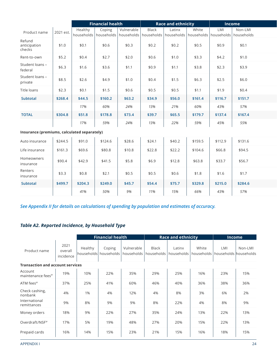|                                             |           | <b>Financial health</b> |            |            |              | <b>Race and ethnicity</b> |                                      | <b>Income</b> |            |
|---------------------------------------------|-----------|-------------------------|------------|------------|--------------|---------------------------|--------------------------------------|---------------|------------|
| Product name                                | 2021 est. | Healthy                 | Coping     | Vulnerable | <b>Black</b> | Latinx                    | White                                | LMI           | Non-LMI    |
|                                             |           | households              | households | households | households   |                           | households   households   households |               | households |
| Refund<br>anticipation<br>checks            | \$1.0     | \$0.1                   | \$0.6      | \$0.3      | \$0.2        | \$0.2                     | \$0.5                                | \$0.9         | \$0.1      |
| Rent-to-own                                 | \$5.2     | \$0.4                   | \$2.7      | \$2.0      | \$0.6        | \$1.0                     | \$3.3                                | \$4.2         | \$1.0      |
| Student loans -<br>federal                  | \$6.3     | \$1.6                   | \$3.6      | \$1.1      | \$0.9        | \$1.1                     | \$3.8                                | \$2.3         | \$3.9      |
| Student loans -<br>private                  | \$8.5     | \$2.6                   | \$4.9      | \$1.0      | \$0.4        | \$1.5                     | \$6.3                                | \$2.5         | \$6.0      |
| <b>Title loans</b>                          | \$2.3     | \$0.1                   | \$1.5      | \$0.6      | \$0.5        | \$0.5                     | \$1.1                                | \$1.9         | \$0.4      |
| <b>Subtotal</b>                             | \$268.4   | \$44.5                  | \$160.2    | \$63.2     | \$34.9       | \$56.0                    | \$161.4                              | \$116.7       | \$151.7    |
|                                             |           | 17%                     | 60%        | 24%        | 13%          | 21%                       | 60%                                  | 43%           | 57%        |
| <b>TOTAL</b>                                | \$304.8   | \$51.8                  | \$178.8    | \$73.4     | \$39.7       | \$65.5                    | \$179.7                              | \$137.4       | \$167.4    |
|                                             |           | 17%                     | 59%        | 24%        | 13%          | 22%                       | 59%                                  | 45%           | 55%        |
| Insurance (premiums, calculated separately) |           |                         |            |            |              |                           |                                      |               |            |
| Auto insurance                              | \$244.5   | \$91.0                  | \$124.6    | \$28.6     | \$24.1       | \$40.2                    | \$159.5                              | \$112.9       | \$131.6    |
| Life insurance                              | \$161.3   | \$69.6                  | \$80.8     | \$10.8     | \$22.8       | \$22.2                    | \$104.6                              | \$66.8        | \$94.5     |
| Homeowners<br>insurance                     | \$90.4    | \$42.9                  | \$41.5     | \$5.8      | \$6.9        | \$12.8                    | \$63.8                               | \$33.7        | \$56.7     |
| Renters<br>insurance                        | \$3.3     | \$0.8                   | \$2.1      | \$0.5      | \$0.5        | \$0.6                     | \$1.8                                | \$1.6         | \$1.7      |
| <b>Subtotal</b>                             | \$499.7   | \$204.3                 | \$249.0    | \$45.7     | \$54.4       | \$75.7                    | \$329.8                              | \$215.0       | \$284.6    |
|                                             |           | 41%                     | 50%        | 9%         | 11%          | 15%                       | 66%                                  | 43%           | 57%        |

*See Appendix II for details on calculations of spending by population and estimates of accuracy.* 

### *Table A2. Reported Incidence, by Household Type*

|                                          |                              | <b>Financial health</b> |                                 |                          |                            | <b>Race and ethnicity</b> | <b>Income</b>         |                              |         |
|------------------------------------------|------------------------------|-------------------------|---------------------------------|--------------------------|----------------------------|---------------------------|-----------------------|------------------------------|---------|
| Product name                             | 2021<br>overall<br>incidence | Healthy                 | Coping<br>households households | Vulnerable<br>households | <b>Black</b><br>households | Latinx<br>households      | White<br>households l | LMI<br>households households | Non-LMI |
| <b>Transaction and account services</b>  |                              |                         |                                 |                          |                            |                           |                       |                              |         |
| Account<br>maintenance fees <sup>4</sup> | 19%                          | 10%                     | 22%                             | 35%                      | 29%                        | 25%                       | 16%                   | 23%                          | 15%     |
| ATM fees $\Psi$                          | 37%                          | 25%                     | 41%                             | 60%                      | 46%                        | 40%                       | 36%                   | 38%                          | 36%     |
| Check cashing,<br>nonbank                | 4%                           | 1%                      | 4%                              | 12%                      | 4%                         | 8%                        | 3%                    | 6%                           | 2%      |
| International<br>remittances             | 9%                           | 8%                      | 9%                              | 9%                       | 8%                         | 22%                       | 4%                    | 8%                           | 9%      |
| Money orders                             | 18%                          | 9%                      | 22%                             | 27%                      | 35%                        | 24%                       | 13%                   | 22%                          | 13%     |
| Overdraft/NSF <sup>Ψ</sup>               | 17%                          | 5%                      | 19%                             | 48%                      | 27%                        | 20%                       | 15%                   | 22%                          | 13%     |
| Prepaid cards                            | 16%                          | 14%                     | 15%                             | 23%                      | 21%                        | 15%                       | 16%                   | 18%                          | 15%     |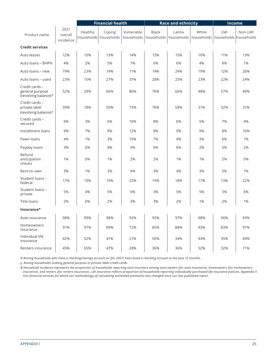|                                                            |                              |         | <b>Financial health</b>         |                          |                            | <b>Race and ethnicity</b> |                     | Income                       |         |  |
|------------------------------------------------------------|------------------------------|---------|---------------------------------|--------------------------|----------------------------|---------------------------|---------------------|------------------------------|---------|--|
| Product name                                               | 2021<br>overall<br>incidence | Healthy | Coping<br>households households | Vulnerable<br>households | <b>Black</b><br>households | Latinx<br>households      | White<br>households | LMI<br>households households | Non-LMI |  |
| <b>Credit services</b>                                     |                              |         |                                 |                          |                            |                           |                     |                              |         |  |
| Auto leases                                                | 12%                          | 10%     | 13%                             | 14%                      | 15%                        | 15%                       | 10%                 | 11%                          | 13%     |  |
| Auto loans - BHPH                                          | 4%                           | 2%      | 5%                              | 7%                       | 6%                         | 6%                        | 4%                  | 8%                           | 1%      |  |
| Auto loans – new                                           | 19%                          | 23%     | 19%                             | 11%                      | 14%                        | 24%                       | 19%                 | 12%                          | 26%     |  |
| Auto loans – used                                          | 23%                          | 15%     | 27%                             | 31%                      | 28%                        | 25%                       | 23%                 | 22%                          | 24%     |  |
| Credit cards -<br>general purpose<br>(revolving balance) Y | 52%                          | 29%     | 66%                             | 86%                      | 76%                        | 66%                       | 48%                 | 57%                          | 49%     |  |
| Credit cards -<br>private label<br>(revolving balance) Y   | 39%                          | 18%     | 50%                             | 73%                      | 76%                        | 58%                       | 31%                 | 52%                          | 31%     |  |
| Credit cards -<br>secured                                  | 6%                           | 3%      | 6%                              | 10%                      | 8%                         | 6%                        | 5%                  | 7%                           | 4%      |  |
| Installment loans                                          | 9%                           | 7%      | 9%                              | 12%                      | 8%                         | 9%                        | 9%                  | 8%                           | 10%     |  |
| Pawn loans                                                 | 4%                           | 1%      | 3%                              | 15%                      | 7%                         | 4%                        | 3%                  | 6%                           | 1%      |  |
| Payday loans                                               | 3%                           | 0%      | 4%                              | 9%                       | 6%                         | 6%                        | 2%                  | 5%                           | 2%      |  |
| Refund<br>anticipation<br>checks                           | 1%                           | 0%      | 1%                              | 2%                       | 2%                         | 1%                        | 1%                  | 2%                           | 0%      |  |
| Rent-to-own                                                | 3%                           | 1%      | 3%                              | 9%                       | 3%                         | 4%                        | 3%                  | 5%                           | 1%      |  |
| Student loans -<br>federal                                 | 17%                          | 13%     | 19%                             | 22%                      | 19%                        | 18%                       | 17%                 | 13%                          | 22%     |  |
| Student loans -<br>private                                 | 5%                           | 4%      | 5%                              | 6%                       | 3%                         | 5%                        | 5%                  | 3%                           | 6%      |  |
| <b>Title loans</b>                                         | 2%                           | 0%      | 2%                              | 3%                       | 3%                         | 2%                        | 1%                  | 2%                           | 1%      |  |
| <b>Insurance</b> <sup>®</sup>                              |                              |         |                                 |                          |                            |                           |                     |                              |         |  |
| Auto insurance                                             | 98%                          | 99%     | 98%                             | 92%                      | 95%                        | 97%                       | 98%                 | 96%                          | 99%     |  |
| Homeowners<br>insurance                                    | 91%                          | 97%     | 89%                             | 72%                      | 85%                        | 88%                       | 93%                 | 83%                          | 97%     |  |
| Individual life<br>insurance                               | 42%                          | 52%     | 41%                             | 21%                      | 50%                        | 34%                       | 44%                 | 35%                          | 49%     |  |
| Renters insurance                                          | 45%                          | 65%     | 47%                             | 28%                      | 36%                        | 36%                       | 52%                 | 32%                          | 71%     |  |

*Ψ Among households who have a checking/savings account or (for 2021) had closed a checking account in the past 12 months.*

*ɣ Among households holding general purpose or private label credit cards.*

*Φ Household incidence represents the proportion of households reporting said insurance among auto owners (for auto insurance), homeowners (for homeowners insurance), and renters (for renters insurance). Life insurance reflects proportion of households reporting individually purchased life insurance policies. Appendix II lists financial services for which our methodology of calculating estimated premiums has changed since our last published report.*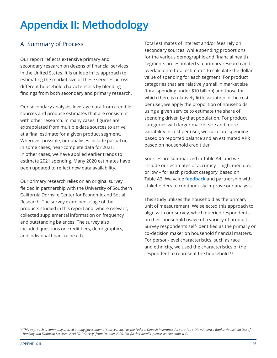### **Appendix II: Methodology**

### A. Summary of Process

Our report reflects extensive primary and secondary research on dozens of financial services in the United States. It is unique in its approach to estimating the market size of these services across different household characteristics by blending findings from both secondary and primary research.

Our secondary analyses leverage data from credible sources and produce estimates that are consistent with other research. In many cases, figures are extrapolated from multiple data sources to arrive at a final estimate for a given product segment. Wherever possible, our analyses include partial or, in some cases, near-complete data for 2021. In other cases, we have applied earlier trends to estimate 2021 spending. Many 2020 estimates have been updated to reflect new data availability.

Our primary research relies on an original survey fielded in partnership with the University of Southern California Dornsife Center for Economic and Social Research. The survey examined usage of the products studied in this report and, where relevant, collected supplemental information on frequency and outstanding balances. The survey also included questions on credit tiers, demographics, and individual financial health.

Total estimates of interest and/or fees rely on secondary sources, while spending proportions for the various demographic and financial health segments are estimated via primary research and overlaid onto total estimates to calculate the dollar value of spending for each segment. For product categories that are relatively small in market size (total spending under \$10 billion) and those for which there is relatively little variation in the cost per user, we apply the proportion of households using a given service to estimate the share of spending driven by that population. For product categories with larger market size and more variability in cost per user, we calculate spending based on reported balance and an estimated APR based on household credit tier.

Sources are summarized in Table A4, and we include our estimates of accuracy – high, medium, or low – for each product category, based on Table A3. We value **[feedback](https://finhealthnetwork.org/about/contact/)** and partnership with stakeholders to continuously improve our analysis.

This study utilizes the household as the primary unit of measurement. We selected this approach to align with our survey, which queried respondents on their household usage of a variety of products. Survey respondents self-identified as the primary or co-decision maker on household financial matters. For person-level characteristics, such as race and ethnicity, we used the characteristics of the respondent to represent the household.56

*<sup>56</sup> This approach is commonly utilized among governmental sources, such as the Federal Deposit Insurance Corporation's "[How America Banks: Household Use of](https://www.fdic.gov/analysis/household-survey/2019report.pdf)  [Banking and Financial Services, 2019 FDIC Survey](https://www.fdic.gov/analysis/household-survey/2019report.pdf)" from October 2020. For further details, please see Appendix II-C.*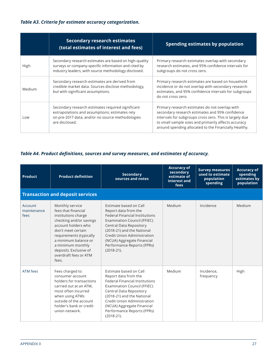### *Table A3. Criteria for estimate accuracy categorization.*

|        | <b>Secondary research estimates</b><br>(total estimates of interest and fees)                                                                                             | Spending estimates by population                                                                                                                                                                                                                                              |
|--------|---------------------------------------------------------------------------------------------------------------------------------------------------------------------------|-------------------------------------------------------------------------------------------------------------------------------------------------------------------------------------------------------------------------------------------------------------------------------|
| High   | Secondary research estimates are based on high-quality<br>surveys or company-specific information and cited by<br>industry leaders, with source methodology disclosed.    | Primary research estimates overlap with secondary<br>research estimates, and 95% confidence intervals for<br>subgroups do not cross zero.                                                                                                                                     |
| Medium | Secondary research estimates are derived from<br>credible market data. Sources disclose methodology,<br>but with significant assumptions.                                 | Primary research estimates are based on household<br>incidence or do not overlap with secondary research<br>estimates, and 95% confidence intervals for subgroups<br>do not cross zero.                                                                                       |
| Low    | Secondary research estimates required significant<br>extrapolations and assumptions; estimates rely<br>on pre-2017 data; and/or no source methodologies<br>are disclosed. | Primary research estimates do not overlap with<br>secondary research estimates and 95% confidence<br>intervals for subgroups cross zero. This is largely due<br>to small sample sizes and primarily affects accuracy<br>around spending allocated to the Financially Healthy. |

### *Table A4. Product definitions, sources and survey measures, and estimates of accuracy.*

| Product                        | <b>Product definition</b>                                                                                                                                                                                                                                                 | <b>Secondary</b><br>sources and notes                                                                                                                                                                                                                                                             | <b>Accuracy of</b><br>secondary<br>estimate of<br>interest and<br>fees | <b>Survey measures</b><br>used to estimate<br>population<br>spending | <b>Accuracy of</b><br>spending<br>estimates by<br>population |
|--------------------------------|---------------------------------------------------------------------------------------------------------------------------------------------------------------------------------------------------------------------------------------------------------------------------|---------------------------------------------------------------------------------------------------------------------------------------------------------------------------------------------------------------------------------------------------------------------------------------------------|------------------------------------------------------------------------|----------------------------------------------------------------------|--------------------------------------------------------------|
|                                | <b>Transaction and deposit services</b>                                                                                                                                                                                                                                   |                                                                                                                                                                                                                                                                                                   |                                                                        |                                                                      |                                                              |
| Account<br>maintenance<br>fees | Monthly service<br>fees that financial<br>institutions charge<br>checking and/or savings<br>account holders who<br>don't meet certain<br>requirements (typically<br>a minimum balance or<br>a minimum monthly<br>deposit). Exclusive of<br>overdraft fees or ATM<br>fees. | Estimate based on Call<br>Report data from the<br><b>Federal Financial Institutions</b><br><b>Examination Council (FFIEC)</b><br>Central Data Repository<br>(2018-21) and the National<br>Credit Union Administration<br>(NCUA) Aggregate Financial<br>Performance Reports (FPRs)<br>$(2018-21).$ | Medium                                                                 | Incidence                                                            | Medium                                                       |
| <b>ATM fees</b>                | Fees charged to<br>consumer account<br>holders for transactions<br>carried out at an ATM,<br>most often incurred<br>when using ATMs<br>outside of the account<br>holder's bank or credit<br>union network.                                                                | Estimate based on Call<br>Report data from the<br><b>Federal Financial Institutions</b><br><b>Examination Council (FFIEC)</b><br>Central Data Repository<br>(2018-21) and the National<br>Credit Union Administration<br>(NCUA) Aggregate Financial<br>Performance Reports (FPRs)<br>$(2018-21).$ | Medium                                                                 | Incidence,<br>frequency                                              | High                                                         |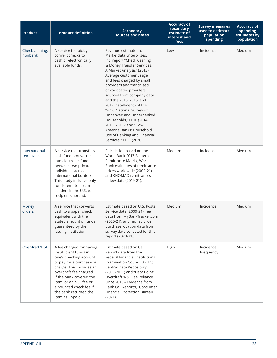| <b>Product</b>               | <b>Product definition</b>                                                                                                                                                                                                                                                               | <b>Secondary</b><br>sources and notes                                                                                                                                                                                                                                                                                                                                                                                                                                                                                                            | <b>Accuracy of</b><br>secondary<br>estimate of<br>interest and<br>fees | <b>Survey measures</b><br>used to estimate<br>population<br>spending | <b>Accuracy of</b><br>spending<br>estimates by<br>population |
|------------------------------|-----------------------------------------------------------------------------------------------------------------------------------------------------------------------------------------------------------------------------------------------------------------------------------------|--------------------------------------------------------------------------------------------------------------------------------------------------------------------------------------------------------------------------------------------------------------------------------------------------------------------------------------------------------------------------------------------------------------------------------------------------------------------------------------------------------------------------------------------------|------------------------------------------------------------------------|----------------------------------------------------------------------|--------------------------------------------------------------|
| Check cashing,<br>nonbank    | A service to quickly<br>convert checks to<br>cash or electronically<br>available funds.                                                                                                                                                                                                 | Revenue estimate from<br>Marketdata Enterprises,<br>Inc. report "Check Cashing<br>& Money Transfer Services:<br>A Market Analysis" (2013).<br>Average customer usage<br>and fees charged by small<br>providers and franchised<br>or co-located providers<br>sourced from company data<br>and the 2013, 2015, and<br>2017 installments of the<br>"FDIC National Survey of<br>Unbanked and Underbanked<br>Households," FDIC (2014,<br>2016, 2018); and "How<br>America Banks: Household<br>Use of Banking and Financial<br>Services," FDIC (2020). | Low                                                                    | Incidence                                                            | Medium                                                       |
| International<br>remittances | A service that transfers<br>cash funds converted<br>into electronic funds<br>between two private<br>individuals across<br>international borders.<br>This study includes only<br>funds remitted from<br>senders in the U.S. to<br>recipients abroad.                                     | Calculation based on the<br>World Bank 2017 Bilateral<br>Remittance Matrix, World<br>Bank estimates of remittance<br>prices worldwide (2009-21),<br>and KNOMAD remittances<br>inflow data (2019-21).                                                                                                                                                                                                                                                                                                                                             | Medium                                                                 | Incidence                                                            | Medium                                                       |
| Money<br>orders              | A service that converts<br>cash to a paper check<br>equivalent with the<br>stated amount of funds<br>guaranteed by the<br>issuing institution.                                                                                                                                          | Estimate based on U.S. Postal<br>Service data (2009-21), fee<br>data from MyBankTracker.com<br>(2020-21), and money order<br>purchase location data from<br>survey data collected for this<br>report (2020-21).                                                                                                                                                                                                                                                                                                                                  | Medium                                                                 | Incidence                                                            | Medium                                                       |
| Overdraft/NSF                | A fee charged for having<br>insufficient funds in<br>one's checking account<br>to pay for a purchase or<br>charge. This includes an<br>overdraft fee charged<br>if the bank covered the<br>item, or an NSF fee or<br>a bounced check fee if<br>the bank returned the<br>item as unpaid. | Estimate based on Call<br>Report data from the<br><b>Federal Financial Institutions</b><br><b>Examination Council (FFIEC)</b><br>Central Data Repository<br>(2019-2021) and "Data Point:<br>Overdraft/NSF Fee Reliance<br>Since 2015 - Evidence from<br>Bank Call Reports," Consumer<br>Financial Protection Bureau<br>(2021).                                                                                                                                                                                                                   | High                                                                   | Incidence,<br>Frequency                                              | Medium                                                       |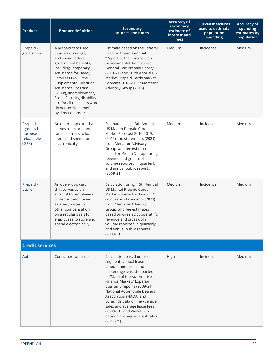| <b>Product</b>                                         | <b>Product definition</b>                                                                                                                                                                                                                                                                                                                                      | <b>Secondary</b><br>sources and notes                                                                                                                                                                                                                                                                                                                                                                      | <b>Accuracy of</b><br>secondary<br>estimate of<br>interest and<br>fees | <b>Survey measures</b><br>used to estimate<br>population<br>spending | <b>Accuracy of</b><br>spending<br>estimates by<br>population |
|--------------------------------------------------------|----------------------------------------------------------------------------------------------------------------------------------------------------------------------------------------------------------------------------------------------------------------------------------------------------------------------------------------------------------------|------------------------------------------------------------------------------------------------------------------------------------------------------------------------------------------------------------------------------------------------------------------------------------------------------------------------------------------------------------------------------------------------------------|------------------------------------------------------------------------|----------------------------------------------------------------------|--------------------------------------------------------------|
| Prepaid-<br>government                                 | A prepaid card used<br>to access, manage,<br>and spend federal<br>government benefits,<br>including Temporary<br>Assistance for Needy<br>Families (TANF), the<br><b>Supplemental Nutrition</b><br>Assistance Program<br>(SNAP), unemployment,<br>Social Security, disability,<br>etc. for all recipients who<br>do not receive benefits<br>by direct deposit.* | Estimate based on the Federal<br>Reserve Board's annual<br>"Report to the Congress on<br>Government-Administered,<br>General-Use Prepaid Cards,"<br>(2011-21) and "13th Annual US<br>Market Prepaid Cards Market<br>Forecast 2016-2019," Mercator<br>Advisory Group (2016).                                                                                                                                | Medium                                                                 | Incidence                                                            | <b>Medium</b>                                                |
| Prepaid<br>- general<br>purpose<br>reloadable<br>(GPR) | An open-loop card that<br>serves as an account<br>for consumers to load,<br>store, and spend funds<br>electronically.                                                                                                                                                                                                                                          | Estimate using "13th Annual<br>US Market Prepaid Cards<br>Market Forecast 2016-2019,"<br>(2016) and statements (2021)<br>from Mercator Advisory<br>Group; and fee estimate<br>based on Green Dot operating<br>revenue and gross dollar<br>volume reported in quarterly<br>and annual public reports<br>$(2009-21).$                                                                                        | Medium                                                                 | Incidence                                                            | Medium                                                       |
| Prepaid-<br>payroll                                    | An open-loop card<br>that serves as an<br>account for employers<br>to deposit employee<br>salaries, wages, or<br>other compensation<br>on a regular basis for<br>employees to store and<br>spend electronically.                                                                                                                                               | Calculation using "15th Annual<br>US Market Prepaid Cards<br>Market Forecast 2017-2021,"<br>(2018) and statements (2021)<br>from Mercator Advisory<br>Group; and fee estimates<br>based on Green Dot operating<br>revenue and gross dollar<br>volume reported in quarterly<br>and annual public reports<br>$(2009-21).$                                                                                    | Medium                                                                 | Incidence                                                            | Medium                                                       |
| <b>Credit services</b>                                 |                                                                                                                                                                                                                                                                                                                                                                |                                                                                                                                                                                                                                                                                                                                                                                                            |                                                                        |                                                                      |                                                              |
| Auto leases                                            | Consumer car leases.                                                                                                                                                                                                                                                                                                                                           | Calculation based on risk<br>segment, annual lease<br>amount and term, and<br>percentage leased reported<br>in "State of the Automotive<br>Finance Market," Experian<br>quarterly reports (2009-21);<br>National Automobile Dealers<br>Association (NADA) and<br>Edmunds data on new vehicle<br>sales and average lease fees<br>(2009-21); and WalletHub<br>data on average interest rates<br>$(2013-21).$ | High                                                                   | Incidence                                                            | <b>Medium</b>                                                |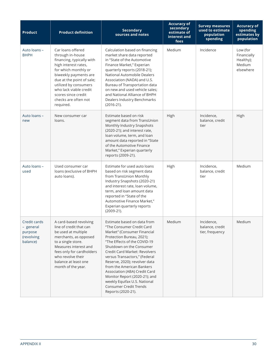| <b>Product</b>                                                 | <b>Product definition</b>                                                                                                                                                                                                                                                               | <b>Secondary</b><br>sources and notes                                                                                                                                                                                                                                                                                                                                                                                                                                     | <b>Accuracy of</b><br>secondary<br>estimate of<br>interest and<br>fees | <b>Survey measures</b><br>used to estimate<br>population<br>spending | <b>Accuracy of</b><br>spending<br>estimates by<br>population |
|----------------------------------------------------------------|-----------------------------------------------------------------------------------------------------------------------------------------------------------------------------------------------------------------------------------------------------------------------------------------|---------------------------------------------------------------------------------------------------------------------------------------------------------------------------------------------------------------------------------------------------------------------------------------------------------------------------------------------------------------------------------------------------------------------------------------------------------------------------|------------------------------------------------------------------------|----------------------------------------------------------------------|--------------------------------------------------------------|
| Auto loans -<br><b>BHPH</b>                                    | Car loans offered<br>through in-house<br>financing, typically with<br>high interest rates,<br>for which monthly or<br>biweekly payments are<br>due at the point of sale;<br>utilized by consumers<br>who lack viable credit<br>scores since credit<br>checks are often not<br>required. | Calculation based on financing<br>market share data reported<br>in "State of the Automotive<br>Finance Market," Experian<br>quarterly reports (2018-21);<br>National Automobile Dealers<br>Association (NADA) and U.S.<br>Bureau of Transportation data<br>on new and used vehicle sales;<br>and National Alliance of BHPH<br>Dealers Industry Benchmarks<br>$(2016-21).$                                                                                                 | Medium                                                                 | Incidence                                                            | Low (for<br>Financially<br>Healthy);<br>Medium<br>elsewhere  |
| Auto loans -<br>new                                            | New consumer car<br>loans.                                                                                                                                                                                                                                                              | Estimate based on risk<br>segment data from TransUnion<br>Monthly Industry Snapshots<br>(2020-21); and interest rate,<br>loan volume, term, and loan<br>amount data reported in "State<br>of the Automotive Finance<br>Market," Experian quarterly<br>reports (2009-21).                                                                                                                                                                                                  | High                                                                   | Incidence,<br>balance, credit<br>tier                                | High                                                         |
| Auto loans -<br>used                                           | Used consumer car<br>loans (exclusive of BHPH<br>auto loans).                                                                                                                                                                                                                           | Estimate for used auto loans<br>based on risk segment data<br>from TransUnion Monthly<br>Industry Snapshots (2020-21)<br>and interest rate, loan volume,<br>term, and loan amount data<br>reported in "State of the<br>Automotive Finance Market,"<br>Experian quarterly reports<br>$(2009-21).$                                                                                                                                                                          | High                                                                   | Incidence,<br>balance, credit<br>tier                                | Medium                                                       |
| Credit cards<br>- general<br>purpose<br>(revolving<br>balance) | A card-based revolving<br>line of credit that can<br>be used at multiple<br>merchants, as opposed<br>to a single store.<br>Measures interest and<br>fees only for cardholders<br>who revolve their<br>balance at least one<br>month of the year.                                        | Estimate based on data from<br>"The Consumer Credit Card<br>Market" (Consumer Financial<br>Protection Bureau, 2021);<br>"The Effects of the COVID-19<br>Shutdown on the Consumer<br>Credit Card Market: Revolvers<br>versus Transactors," (Federal<br>Reserve, 2020); revolver data<br>from the American Bankers<br>Association (ABA) Credit Card<br>Monitor Report (2020-21); and<br>weekly Equifax U.S. National<br><b>Consumer Credit Trends</b><br>Reports (2020-21). | Medium                                                                 | Incidence,<br>balance, credit<br>tier, frequency                     | Medium                                                       |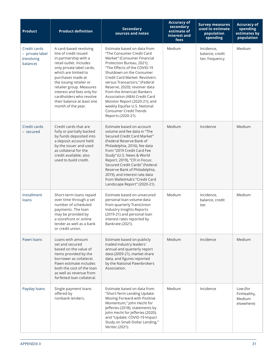| <b>Product</b>                                            | <b>Product definition</b>                                                                                                                                                                                                                                                                                                                         | <b>Secondary</b><br>sources and notes                                                                                                                                                                                                                                                                                                                                                                                                                                            | <b>Accuracy of</b><br>secondary<br>estimate of<br>interest and<br>fees | <b>Survey measures</b><br>used to estimate<br>population<br>spending | <b>Accuracy of</b><br>spending<br>estimates by<br>population |
|-----------------------------------------------------------|---------------------------------------------------------------------------------------------------------------------------------------------------------------------------------------------------------------------------------------------------------------------------------------------------------------------------------------------------|----------------------------------------------------------------------------------------------------------------------------------------------------------------------------------------------------------------------------------------------------------------------------------------------------------------------------------------------------------------------------------------------------------------------------------------------------------------------------------|------------------------------------------------------------------------|----------------------------------------------------------------------|--------------------------------------------------------------|
| Credit cards<br>- private label<br>(revolving<br>balance) | A card-based revolving<br>line of credit issued<br>in partnership with a<br>retail outlet. Includes<br>only private label cards,<br>which are limited to<br>purchases made at<br>the issuing retailer or<br>retailer group. Measures<br>interest and fees only for<br>cardholders who revolve<br>their balance at least one<br>month of the year. | Estimate based on data from<br>"The Consumer Credit Card<br>Market" (Consumer Financial<br>Protection Bureau, 2021);<br>"The Effects of the COVID-19<br>Shutdown on the Consumer<br><b>Credit Card Market: Revolvers</b><br>versus Transactors," (Federal<br>Reserve, 2020); revolver data<br>from the American Bankers<br>Association (ABA) Credit Card<br>Monitor Report (2020-21); and<br>weekly Equifax U.S. National<br><b>Consumer Credit Trends</b><br>Reports (2020-21). | Medium                                                                 | Incidence,<br>balance, credit<br>tier, frequency                     | Medium                                                       |
| Credit cards<br>- secured                                 | Credit cards that are<br>fully or partially backed<br>by funds deposited into<br>a deposit account held<br>by the issuer and used<br>as collateral for the<br>credit available; also<br>used to build credit.                                                                                                                                     | Estimate based on account<br>volume and fee data in "The<br>Secured Credit Card Market"<br>(Federal Reserve Bank of<br>Philadelphia, 2016), fee data<br>from "2019 Credit Card Fee<br>Study" (U.S. News & World<br>Report, 2019), "CFI in Focus:<br>Secured Credit Cards" (Federal<br>Reserve Bank of Philadelphia,<br>2019), and interest rate data<br>from WalletHub's "Credit Card<br>Landscape Report" (2020-21).                                                            | Medium                                                                 | Incidence                                                            | Medium                                                       |
| Installment<br>loans                                      | Short-term loans repaid<br>over time through a set<br>number of scheduled<br>payments. The loan<br>may be provided by<br>a storefront or online<br>lender as well as a bank<br>or credit union.                                                                                                                                                   | Estimate based on unsecured<br>personal loan volume data<br>from quarterly TransUnion<br>Industry Insights Reports<br>(2019-21) and personal loan<br>interest rates reported by<br>Bankrate (2021).                                                                                                                                                                                                                                                                              | Medium                                                                 | Incidence,<br>balance, credit<br>tier                                | Medium                                                       |
| Pawn loans                                                | Loans with amount<br>set and secured<br>based on the value of<br>items provided by the<br>borrower as collateral.<br>Pawn estimate includes<br>both the cost of the loan<br>as well as revenue from<br>forfeited loan collateral.                                                                                                                 | Estimate based on publicly<br>traded industry leaders'<br>annual and quarterly report<br>data (2009-21), market share<br>data, and figures reported<br>by the National Pawnbrokers<br>Association.                                                                                                                                                                                                                                                                               | Medium                                                                 | Incidence                                                            | Medium                                                       |
| Payday loans                                              | Single payment loans<br>offered by<br>nonbank lenders.                                                                                                                                                                                                                                                                                            | Estimate based on data from<br>"Short-Term Lending Update:<br>Moving Forward with Positive<br>Momentum," John Hecht for<br>Jefferies (2018); statements by<br>John Hecht for Jefferies (2020);<br>and "Update: COVID-19 Impact<br>Study on Small-Dollar Lending,"<br>Veritec (2021).                                                                                                                                                                                             | Medium                                                                 | Incidence                                                            | Low (for<br>FinHealthy,<br>Medium<br>elsewhere)              |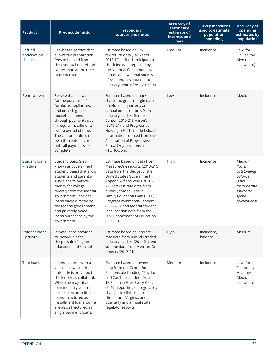| <b>Product</b>                   | <b>Product definition</b>                                                                                                                                                                                                                                                                                            | <b>Secondary</b><br>sources and notes                                                                                                                                                                                                                                                                                                                                                              | <b>Accuracy of</b><br>secondary<br>estimate of<br>interest and<br>fees | <b>Survey measures</b><br>used to estimate<br>population<br>spending | <b>Accuracy of</b><br>spending<br>estimates by<br>population                                                 |
|----------------------------------|----------------------------------------------------------------------------------------------------------------------------------------------------------------------------------------------------------------------------------------------------------------------------------------------------------------------|----------------------------------------------------------------------------------------------------------------------------------------------------------------------------------------------------------------------------------------------------------------------------------------------------------------------------------------------------------------------------------------------------|------------------------------------------------------------------------|----------------------------------------------------------------------|--------------------------------------------------------------------------------------------------------------|
| Refund<br>anticipation<br>checks | Fee-based service that<br>allows tax preparation<br>fees to be paid from<br>the eventual tax refund<br>rather than at the time<br>of preparation.                                                                                                                                                                    | Estimate based on IRS<br>tax return data (Tax Years<br>2015-19), refund anticipation<br>check fee data reported by<br>the National Consumer Law<br>Center, and National Society<br>of Accountants data on tax<br>industry typical fees (2015-18).                                                                                                                                                  | Medium                                                                 | Incidence                                                            | Low (for<br>FinHealthy,<br>Medium<br>elsewhere)                                                              |
| Rent-to-own                      | Service that allows<br>for the purchase of<br>furniture, appliances,<br>and other big-ticket<br>household items<br>through payments due<br>in regular installments<br>over a period of time.<br>The customer does not<br>own the rented item<br>until all payments are<br>complete.                                  | Estimate based on market<br>share and gross margin data<br>provided in quarterly and<br>annual public reports from<br>industry leaders Rent-A-<br>Center (2019-21), Aaron's<br>(2019-21), and Progressive<br>Holdings (2021); market share<br>information sourced from the<br>Association of Progressive<br>Rental Organizations at<br>RTOHQ.com.                                                  | Low                                                                    | Incidence                                                            | Medium                                                                                                       |
| Student loans<br>- federal       | Student loans (also<br>known as government<br>student loans) that allow<br>students and parents/<br>guardians to borrow<br>money for college<br>directly from the federal<br>government. Includes<br>loans made directly by<br>the federal government<br>and privately made<br>loans purchased by the<br>government. | Estimate based on data from<br>MeasureOne reports (2013-21);<br>data from the Budget of the<br>United States Government,<br>Appendix (fiscal years 2020-<br>22); interest rate data from<br>publicly traded Federal<br>Family Education Loan (FFEL)<br>Program commercial lenders<br>(2018-21); and federal student<br>loan location data from the<br>U.S. Department of Education<br>$(2017-21).$ | High                                                                   | Incidence                                                            | Medium<br>(Note:<br>outstanding<br>balance<br>is not<br>factored into<br>estimated<br>spend<br>calculations) |
| Student loans<br>- private       | Private loans provided<br>to individuals for<br>the pursuit of higher<br>education and related<br>costs.                                                                                                                                                                                                             | Estimate based on interest<br>rate data from publicly traded<br>industry leaders (2011-21) and<br>volume data from MeasureOne<br>reports (2013-21).                                                                                                                                                                                                                                                | High                                                                   | Incidence,<br>balance                                                | Medium                                                                                                       |
| <b>Title loans</b>               | Loans secured with a<br>vehicle, in which the<br>auto title is provided to<br>the lender as collateral.<br>While the majority of<br>loan industry volume<br>is based on auto title<br>loans structured as<br>installment loans, some<br>are also structured as<br>single payment loans.                              | Estimate based on revenue<br>data from the Center for<br>Responsible Lending, "Payday<br>and Car Title Lenders Drain<br>\$8 Billion in Fees Every Year,"<br>(2019); reporting on regulatory<br>changes in Ohio, California,<br>Illinois, and Virginia; and<br>quarterly and annual state<br>regulator reports.                                                                                     | Medium                                                                 | Incidence                                                            | Low (for<br>Financially<br>Healthy);<br>Medium<br>elsewhere                                                  |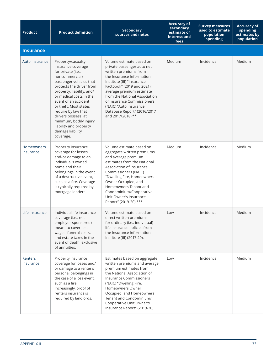| <b>Product</b>                 | <b>Product definition</b>                                                                                                                                                                                                                                                                                                                                                          | <b>Secondary</b><br>sources and notes                                                                                                                                                                                                                                                                                                             | <b>Accuracy of</b><br>secondary<br>estimate of<br>interest and<br>fees | <b>Survey measures</b><br>used to estimate<br>population<br>spending | <b>Accuracy of</b><br>spending<br>estimates by<br>population |
|--------------------------------|------------------------------------------------------------------------------------------------------------------------------------------------------------------------------------------------------------------------------------------------------------------------------------------------------------------------------------------------------------------------------------|---------------------------------------------------------------------------------------------------------------------------------------------------------------------------------------------------------------------------------------------------------------------------------------------------------------------------------------------------|------------------------------------------------------------------------|----------------------------------------------------------------------|--------------------------------------------------------------|
| <b>Insurance</b>               |                                                                                                                                                                                                                                                                                                                                                                                    |                                                                                                                                                                                                                                                                                                                                                   |                                                                        |                                                                      |                                                              |
| Auto insurance                 | Property/casualty<br>insurance coverage<br>for private (i.e.,<br>noncommercial)<br>passenger vehicles that<br>protects the driver from<br>property, liability, and/<br>or medical costs in the<br>event of an accident<br>or theft. Most states<br>require by law that<br>drivers possess, at<br>minimum, bodily injury<br>liability and property<br>damage liability<br>coverage. | Volume estimate based on<br>private passenger auto net<br>written premiums from<br>the Insurance Information<br>Institute (III) "Insurance<br>Factbook" (2019 and 2021);<br>average premium estimate<br>from the National Association<br>of Insurance Commissioners<br>(NAIC) "Auto Insurance<br>Database Report" (2016/2017<br>and 2017/2018).** | Medium                                                                 | Incidence                                                            | Medium                                                       |
| <b>Homeowners</b><br>insurance | Property insurance<br>coverage for losses<br>and/or damage to an<br>individual's owned<br>home and their<br>belongings in the event<br>of a destructive event,<br>such as a fire. Coverage<br>is typically required by<br>mortgage lenders.                                                                                                                                        | Volume estimate based on<br>aggregate written premiums<br>and average premium<br>estimates from the National<br>Association of Insurance<br>Commissioners (NAIC)<br>"Dwelling Fire, Homeowners<br>Owner-Occupied, and<br>Homeowners Tenant and<br>Condominium/Cooperative<br>Unit Owner's Insurance<br>Report" (2019-20).***                      | Medium                                                                 | Incidence                                                            | Medium                                                       |
| Life insurance                 | Individual life insurance<br>coverage (i.e., not<br>employer-sponsored)<br>meant to cover lost<br>wages, funeral costs,<br>and estate taxes in the<br>event of death, exclusive<br>of annuities.                                                                                                                                                                                   | Volume estimate based on<br>direct written premiums<br>for ordinary (i.e., individual)<br>life insurance policies from<br>the Insurance Information<br>Institute (III) (2017-20).                                                                                                                                                                 | Low                                                                    | Incidence                                                            | Medium                                                       |
| Renters<br>insurance           | Property insurance<br>coverage for losses and/<br>or damage to a renter's<br>personal belongings in<br>the case of a loss event,<br>such as a fire.<br>Increasingly, proof of<br>renters insurance is<br>required by landlords.                                                                                                                                                    | Estimates based on aggregate<br>written premiums and average<br>premium estimates from<br>the National Association of<br><b>Insurance Commissioners</b><br>(NAIC) "Dwelling Fire,<br>Homeowners Owner<br>Occupied, and Homeowners<br>Tenant and Condominium/<br>Cooperative Unit Owner's<br>Insurance Report" (2019-20).                          | Low                                                                    | Incidence                                                            | Medium                                                       |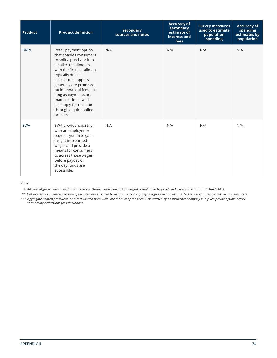| <b>Product</b> | <b>Product definition</b>                                                                                                                                                                                                                                                                                                                         | <b>Secondary</b><br>sources and notes | <b>Accuracy of</b><br>secondary<br>estimate of<br>interest and<br>fees | <b>Survey measures</b><br>used to estimate<br>population<br>spending | <b>Accuracy of</b><br>spending<br>estimates by<br>population |
|----------------|---------------------------------------------------------------------------------------------------------------------------------------------------------------------------------------------------------------------------------------------------------------------------------------------------------------------------------------------------|---------------------------------------|------------------------------------------------------------------------|----------------------------------------------------------------------|--------------------------------------------------------------|
| <b>BNPL</b>    | Retail payment option<br>that enables consumers<br>to split a purchase into<br>smaller installments,<br>with the first installment<br>typically due at<br>checkout. Shoppers<br>generally are promised<br>no interest and fees - as<br>long as payments are<br>made on time - and<br>can apply for the loan<br>through a quick online<br>process. | N/A                                   | N/A                                                                    | N/A                                                                  | N/A                                                          |
| <b>EWA</b>     | EWA providers partner<br>with an employer or<br>payroll system to gain<br>insight into earned<br>wages and provide a<br>means for consumers<br>to access those wages<br>before payday or<br>the day funds are<br>accessible.                                                                                                                      | N/A                                   | N/A                                                                    | N/A                                                                  | N/A                                                          |

*Notes*

*\* All federal government benefits not accessed through direct deposit are legally required to be provided by prepaid cards as of March 2013.*

*\*\* Net written premiums is the sum of the premiums written by an insurance company in a given period of time, less any premiums turned over to reinsurers.*

*\*\*\* Aggregate written premiums, or direct written premiums, are the sum of the premiums written by an insurance company in a given period of time before considering deductions for reinsurance.*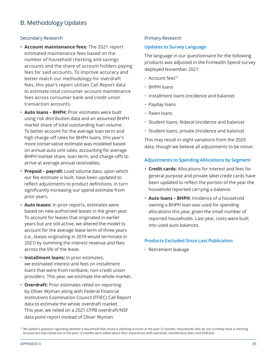### B. Methodology Updates

#### Secondary Research

- **• Account maintenance fees:** The 2021 report estimated maintenance fees based on the number of household checking and savings accounts and the share of account holders paying fees for said accounts. To improve accuracy and better match our methodology for overdraft fees, this year's report utilizes Call Report data to estimate total consumer account maintenance fees across consumer bank and credit union transaction accounts.
- **• Auto loans BHPH:** Prior estimates were built using risk distribution data and an assumed BHPH market share of total outstanding loan volume. To better account for the average loan term and high charge-off rates for BHPH loans, this year's more conservative estimate was modeled based on annual auto unit sales, accounting for average BHPH market share, loan term, and charge-offs to arrive at average annual receivables.
- **• Prepaid payroll:** Load volume data, upon which our fee estimate is built, have been updated to reflect adjustments to product definitions, in turn significantly increasing our spend estimate from prior years.
- **• Auto leases:** In prior reports, estimates were based on new authorized leases in the given year. To account for leases that originated in earlier years but are still active, we altered the model to account for the average lease term of three years (i.e., leases originating in 2019 would terminate in 2021) by summing the interest revenue and fees across the life of the lease.
- **• Installment loans:** In prior estimates, we estimated interest and fees on installment loans that were from nonbank, non-credit union providers. This year, we estimate the whole market.
- **• Overdraft:** Prior estimates relied on reporting by Oliver Wyman along with Federal Financial Institutions Examination Council (FFIEC) Call Report data to estimate the whole overdraft market. This year, we relied on a 2021 CFPB overdraft/NSF data point report instead of Oliver Wyman.

### Primary Research

### **Updates to Survey Language**

The language in our questionnaire for the following products was adjusted in the FinHealth Spend survey deployed November 2021:

- Account fees<sup>57</sup>
- BHPH loans
- Installment loans (incidence and balance)
- Payday loans
- Pawn loans
- Student loans, federal (incidence and balance)
- Student loans, private (incidence and balance)

This may result in slight variations from the 2020 data, though we believe all adjustments to be minor.

### **Adjustments to Spending Allocations by Segment**

- **• Credit cards:** Allocations for interest and fees for general purpose and private label credit cards have been updated to reflect the portion of the year the household reported carrying a balance.
- **• Auto loans BHPH:** Incidence of a household owning a BHPH loan was used for spending allocations this year, given the small number of reported households. Last year, costs were built into used auto balances.

#### **Products Excluded Since Last Publication**

• Retirement leakage

*<sup>57</sup> We added a question regarding whether a household had closed a checking account in the past 12 months. Households who do not currently have a checking account but had closed one in the past 12 months were asked about their experiences with overdraft, maintenance fees, and ATM fees.*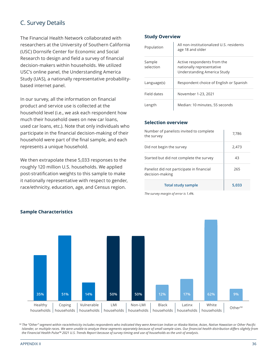### C. Survey Details

The Financial Health Network collaborated with researchers at the University of Southern California (USC) Dornsife Center for Economic and Social Research to design and field a survey of financial decision-makers within households. We utilized USC's online panel, the Understanding America Study (UAS), a nationally representative probabilitybased internet panel.

In our survey, all the information on financial product and service use is collected at the household level (i.e., we ask each respondent how much their household owes on new car loans, used car loans, etc.). Note that only individuals who participate in the financial decision-making of their household were part of the final sample, and each represents a unique household.

We then extrapolate these 5,033 responses to the roughly 120 million U.S. households. We applied post-stratification weights to this sample to make it nationally representative with respect to gender, race/ethnicity, education, age, and Census region.

### **Study Overview**

| Population          | All non-institutionalized U.S. residents<br>age 18 and older                            |
|---------------------|-----------------------------------------------------------------------------------------|
| Sample<br>selection | Active respondents from the<br>nationally representative<br>Understanding America Study |
| Language(s)         | Respondent choice of English or Spanish                                                 |
| Field dates         | November 1-23, 2021                                                                     |
| Length              | Median: 10 minutes, 55 seconds                                                          |

#### **Selection overview**

| Number of panelists invited to complete<br>the survey        | 7,786 |
|--------------------------------------------------------------|-------|
| Did not begin the survey                                     | 2,473 |
| Started but did not complete the survey                      | 43    |
| Panelist did not participate in financial<br>decision-making | 265   |
| <b>Total study sample</b>                                    | 5,033 |

*The survey margin of error is 1.4%.*



*<sup>58</sup> The "Other" segment within race/ethnicity includes respondents who indicated they were American Indian or Alaska Native, Asian, Native Hawaiian or Other Pacific Islander, or multiple races. We were unable to analyze these segments separately because of small sample sizes. Our financial health distribution differs slightly from the Financial Health Pulse™ 2021 U.S. Trends Report because of survey timing and use of households as the unit of analysis.*

### **Sample Characteristics**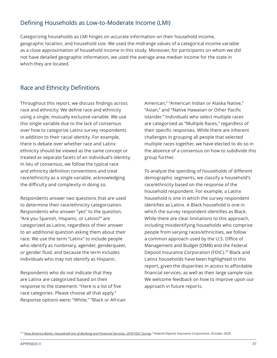### Defining Households as Low-to-Moderate Income (LMI)

Categorizing households as LMI hinges on accurate information on their household income, geographic location, and household size. We used the midrange values of a categorical income variable as a close approximation of household income in this study. Moreover, for participants on whom we did not have detailed geographic information, we used the average area median income for the state in which they are located.

### Race and Ethnicity Definitions

Throughout this report, we discuss findings across race and ethnicity. We define race and ethnicity using a single, mutually exclusive variable. We use this single variable due to the lack of consensus over how to categorize Latinx survey respondents in addition to their racial identity. For example, there is debate over whether race and Latinx ethnicity should be viewed as the same concept or treated as separate facets of an individual's identity. In lieu of consensus, we follow the typical race and ethnicity definition conventions and treat race/ethnicity as a single variable, acknowledging the difficulty and complexity in doing so.

Respondents answer two questions that are used to determine their race/ethnicity categorization. Respondents who answer "yes" to the question, "Are you Spanish, Hispanic, or Latino?" are categorized as Latinx, regardless of their answer to an additional question asking them about their race. We use the term "Latinx" to include people who identify as nonbinary, agender, genderqueer, or gender fluid, and because the term includes individuals who may not identify as Hispanic.

Respondents who do not indicate that they are Latinx are categorized based on their response to the statement: "Here is a list of five race categories. Please choose all that apply." Response options were: "White," "Black or African American," "American Indian or Alaska Native," "Asian," and "Native Hawaiian or Other Pacific Islander." Individuals who select multiple races are categorized as "Multiple Races," regardless of their specific responses. While there are inherent challenges in grouping all people that selected multiple races together, we have elected to do so in the absence of a consensus on how to subdivide this group further.

To analyze the spending of households of different demographic segments, we classify a household's race/ethnicity based on the response of the household respondent. For example, a Latinx household is one in which the survey respondent identifies as Latinx. A Black household is one in which the survey respondent identifies as Black. While there are clear limitations to this approach, including misidentifying households who comprise people from varying races/ethnicities, we follow a common approach used by the U.S. Office of Management and Budget (OMB) and the Federal Deposit Insurance Corporation (FDIC).<sup>59</sup> Black and Latinx households have been highlighted in this report, given the disparities in access to affordable financial services, as well as their large sample size. We welcome feedback on how to improve upon our approach in future reports.

*59 "[How America Banks: Household Use of Banking and Financial Services, 2019 FDIC Survey,"](https://www.fdic.gov/analysis/household-survey/2019report.pdf) Federal Deposit Insurance Corporation, October 2020.*